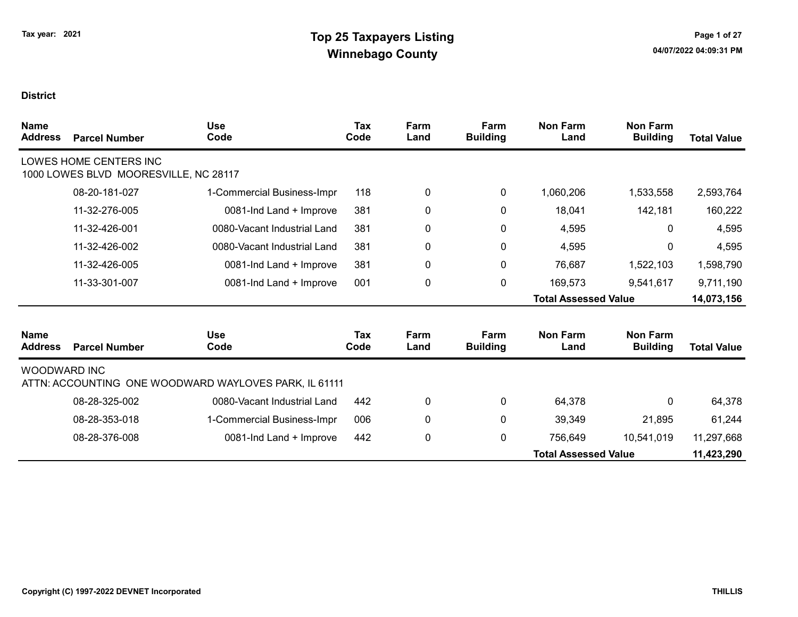| <b>Name</b><br><b>Address</b> | <b>Parcel Number</b>                                            | <b>Use</b><br>Code                                    | <b>Tax</b><br>Code | Farm<br>Land | Farm<br><b>Building</b> | <b>Non Farm</b><br>Land     | <b>Non Farm</b><br><b>Building</b> | <b>Total Value</b> |
|-------------------------------|-----------------------------------------------------------------|-------------------------------------------------------|--------------------|--------------|-------------------------|-----------------------------|------------------------------------|--------------------|
|                               | LOWES HOME CENTERS INC<br>1000 LOWES BLVD MOORESVILLE, NC 28117 |                                                       |                    |              |                         |                             |                                    |                    |
|                               | 08-20-181-027                                                   | 1-Commercial Business-Impr                            | 118                | 0            | $\pmb{0}$               | 1,060,206                   | 1,533,558                          | 2,593,764          |
|                               | 11-32-276-005                                                   | 0081-Ind Land + Improve                               | 381                | 0            | 0                       | 18,041                      | 142,181                            | 160,222            |
|                               | 11-32-426-001                                                   | 0080-Vacant Industrial Land                           | 381                | $\mathbf 0$  | 0                       | 4,595                       | 0                                  | 4,595              |
|                               | 11-32-426-002                                                   | 0080-Vacant Industrial Land                           | 381                | $\mathbf 0$  | 0                       | 4,595                       | 0                                  | 4,595              |
|                               | 11-32-426-005                                                   | 0081-Ind Land + Improve                               | 381                | $\mathbf 0$  | $\mathbf 0$             | 76,687                      | 1,522,103                          | 1,598,790          |
|                               | 11-33-301-007                                                   | 0081-Ind Land + Improve                               | 001                | $\mathbf 0$  | $\pmb{0}$               | 169,573                     | 9,541,617                          | 9,711,190          |
|                               |                                                                 |                                                       |                    |              |                         | <b>Total Assessed Value</b> |                                    | 14,073,156         |
| <b>Name</b><br><b>Address</b> | <b>Parcel Number</b>                                            | <b>Use</b><br>Code                                    | <b>Tax</b><br>Code | Farm<br>Land | Farm<br><b>Building</b> | <b>Non Farm</b><br>Land     | <b>Non Farm</b><br><b>Building</b> | <b>Total Value</b> |
| <b>WOODWARD INC</b>           |                                                                 | ATTN: ACCOUNTING ONE WOODWARD WAYLOVES PARK, IL 61111 |                    |              |                         |                             |                                    |                    |
|                               | 08-28-325-002                                                   | 0080-Vacant Industrial Land                           | 442                | $\mathbf 0$  | 0                       | 64,378                      | 0                                  | 64,378             |
|                               | 08-28-353-018                                                   | 1-Commercial Business-Impr                            | 006                | $\pmb{0}$    | 0                       | 39,349                      | 21,895                             | 61,244             |
|                               | 08-28-376-008                                                   | 0081-Ind Land + Improve                               | 442                | $\mathbf 0$  | 0                       | 756,649                     | 10,541,019                         | 11,297,668         |
|                               |                                                                 |                                                       |                    |              |                         | <b>Total Assessed Value</b> |                                    | 11,423,290         |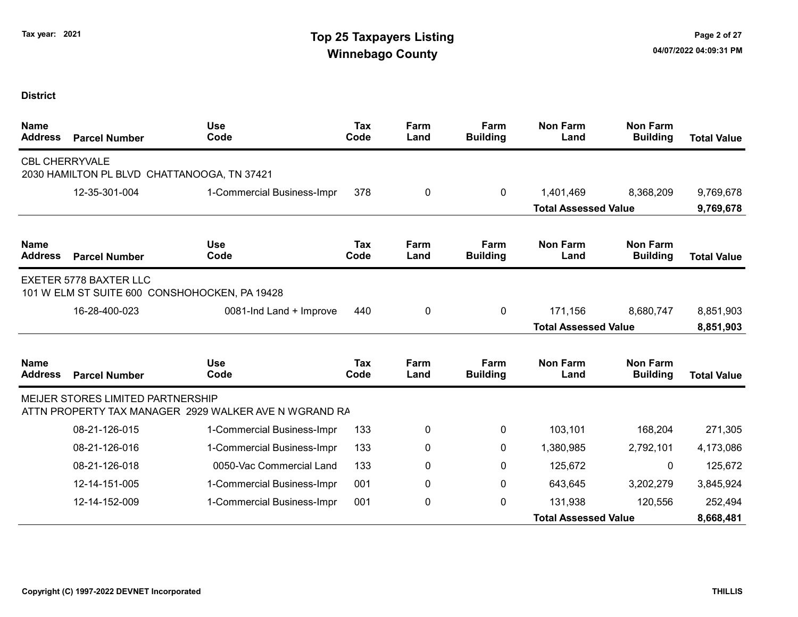| <b>Name</b><br><b>Address</b> | <b>Parcel Number</b>                                                 | <b>Use</b><br>Code                                    | Tax<br>Code        | Farm<br>Land | Farm<br><b>Building</b> | <b>Non Farm</b><br>Land     | <b>Non Farm</b><br><b>Building</b> | <b>Total Value</b> |
|-------------------------------|----------------------------------------------------------------------|-------------------------------------------------------|--------------------|--------------|-------------------------|-----------------------------|------------------------------------|--------------------|
|                               | <b>CBL CHERRYVALE</b><br>2030 HAMILTON PL BLVD CHATTANOOGA, TN 37421 |                                                       |                    |              |                         |                             |                                    |                    |
|                               | 12-35-301-004                                                        | 1-Commercial Business-Impr                            | 378                | 0            | $\mathbf 0$             | 1,401,469                   | 8,368,209                          | 9,769,678          |
|                               |                                                                      |                                                       |                    |              |                         | <b>Total Assessed Value</b> |                                    | 9,769,678          |
| <b>Name</b><br><b>Address</b> | <b>Parcel Number</b>                                                 | <b>Use</b><br>Code                                    | <b>Tax</b><br>Code | Farm<br>Land | Farm<br><b>Building</b> | <b>Non Farm</b><br>Land     | <b>Non Farm</b><br><b>Building</b> | <b>Total Value</b> |
|                               | <b>EXETER 5778 BAXTER LLC</b>                                        | 101 W ELM ST SUITE 600 CONSHOHOCKEN, PA 19428         |                    |              |                         |                             |                                    |                    |
|                               | 16-28-400-023                                                        | 0081-Ind Land + Improve                               | 440                | 0            | 0                       | 171,156                     | 8,680,747                          | 8,851,903          |
|                               |                                                                      |                                                       |                    |              |                         | <b>Total Assessed Value</b> |                                    | 8,851,903          |
| <b>Name</b><br><b>Address</b> | <b>Parcel Number</b>                                                 | <b>Use</b><br>Code                                    | <b>Tax</b><br>Code | Farm<br>Land | Farm<br><b>Building</b> | <b>Non Farm</b><br>Land     | <b>Non Farm</b><br><b>Building</b> | <b>Total Value</b> |
|                               | <b>MEIJER STORES LIMITED PARTNERSHIP</b>                             | ATTN PROPERTY TAX MANAGER 2929 WALKER AVE N WGRAND RA |                    |              |                         |                             |                                    |                    |
|                               | 08-21-126-015                                                        | 1-Commercial Business-Impr                            | 133                | 0            | $\mathbf{0}$            | 103,101                     | 168,204                            | 271,305            |
|                               | 08-21-126-016                                                        | 1-Commercial Business-Impr                            | 133                | 0            | 0                       | 1,380,985                   | 2,792,101                          | 4,173,086          |
|                               | 08-21-126-018                                                        | 0050-Vac Commercial Land                              | 133                | 0            | 0                       | 125,672                     | 0                                  | 125,672            |
|                               | 12-14-151-005                                                        | 1-Commercial Business-Impr                            | 001                | 0            | $\mathbf{0}$            | 643,645                     | 3,202,279                          | 3,845,924          |
|                               | 12-14-152-009                                                        | 1-Commercial Business-Impr                            | 001                | 0            | $\mathbf{0}$            | 131,938                     | 120,556                            | 252,494            |
|                               |                                                                      |                                                       |                    |              |                         | <b>Total Assessed Value</b> |                                    | 8,668,481          |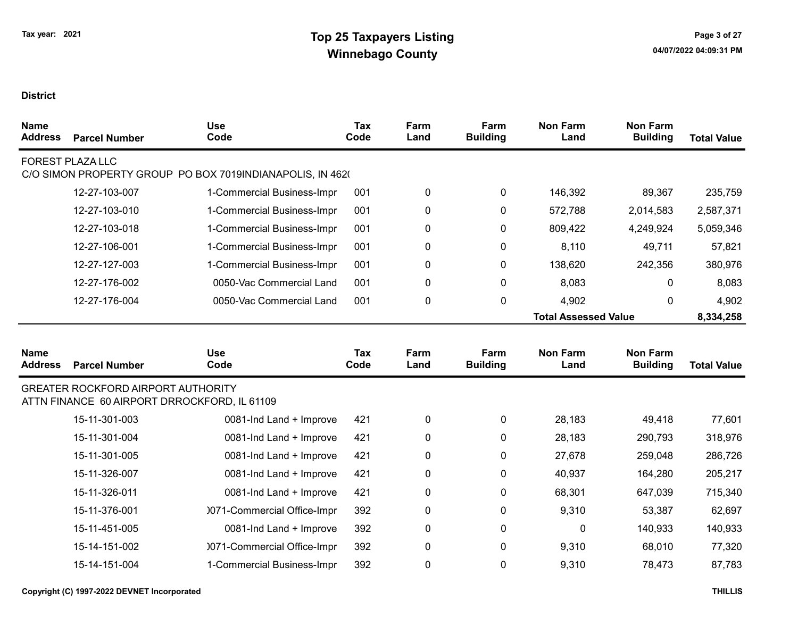| <b>Name</b><br><b>Address</b> | <b>Parcel Number</b>                                                                      | <b>Use</b><br>Code                                        | <b>Tax</b><br>Code | Farm<br>Land | Farm<br><b>Building</b> | <b>Non Farm</b><br>Land     | <b>Non Farm</b><br><b>Building</b> | <b>Total Value</b> |
|-------------------------------|-------------------------------------------------------------------------------------------|-----------------------------------------------------------|--------------------|--------------|-------------------------|-----------------------------|------------------------------------|--------------------|
|                               | <b>FOREST PLAZA LLC</b>                                                                   | C/O SIMON PROPERTY GROUP PO BOX 7019INDIANAPOLIS, IN 4620 |                    |              |                         |                             |                                    |                    |
|                               | 12-27-103-007                                                                             | 1-Commercial Business-Impr                                | 001                | 0            | 0                       | 146,392                     | 89,367                             | 235,759            |
|                               | 12-27-103-010                                                                             | 1-Commercial Business-Impr                                | 001                | 0            | 0                       | 572,788                     | 2,014,583                          | 2,587,371          |
|                               | 12-27-103-018                                                                             | 1-Commercial Business-Impr                                | 001                | 0            | 0                       | 809,422                     | 4,249,924                          | 5,059,346          |
|                               | 12-27-106-001                                                                             | 1-Commercial Business-Impr                                | 001                | 0            | 0                       | 8,110                       | 49,711                             | 57,821             |
|                               | 12-27-127-003                                                                             | 1-Commercial Business-Impr                                | 001                | 0            | 0                       | 138,620                     | 242,356                            | 380,976            |
|                               | 12-27-176-002                                                                             | 0050-Vac Commercial Land                                  | 001                | 0            | 0                       | 8,083                       | 0                                  | 8,083              |
|                               | 12-27-176-004                                                                             | 0050-Vac Commercial Land                                  | 001                | 0            | 0                       | 4,902                       | 0                                  | 4,902              |
|                               |                                                                                           |                                                           |                    |              |                         | <b>Total Assessed Value</b> |                                    | 8,334,258          |
| <b>Name</b><br><b>Address</b> | <b>Parcel Number</b>                                                                      | <b>Use</b><br>Code                                        | <b>Tax</b><br>Code | Farm<br>Land | Farm<br><b>Building</b> | <b>Non Farm</b><br>Land     | <b>Non Farm</b><br><b>Building</b> | <b>Total Value</b> |
|                               | <b>GREATER ROCKFORD AIRPORT AUTHORITY</b><br>ATTN FINANCE 60 AIRPORT DRROCKFORD, IL 61109 |                                                           |                    |              |                         |                             |                                    |                    |
|                               | 15-11-301-003                                                                             | 0081-Ind Land + Improve                                   | 421                | 0            | $\pmb{0}$               | 28,183                      | 49,418                             | 77,601             |
|                               | 15-11-301-004                                                                             | 0081-Ind Land + Improve                                   | 421                | 0            | 0                       | 28,183                      | 290,793                            | 318,976            |
|                               | 15-11-301-005                                                                             | 0081-Ind Land + Improve                                   | 421                | 0            | $\pmb{0}$               | 27,678                      | 259,048                            | 286,726            |
|                               | 15-11-326-007                                                                             | 0081-Ind Land + Improve                                   | 421                | 0            | 0                       | 40,937                      | 164,280                            | 205,217            |
|                               | 15-11-326-011                                                                             |                                                           |                    |              |                         |                             |                                    |                    |
|                               |                                                                                           | 0081-Ind Land + Improve                                   | 421                | 0            | $\pmb{0}$               | 68,301                      | 647,039                            | 715,340            |
|                               | 15-11-376-001                                                                             | 0071-Commercial Office-Impr                               | 392                | 0            | 0                       | 9,310                       | 53,387                             | 62,697             |
|                               | 15-11-451-005                                                                             | 0081-Ind Land + Improve                                   | 392                | 0            | $\pmb{0}$               | 0                           | 140,933                            | 140,933            |
|                               | 15-14-151-002                                                                             | 0071-Commercial Office-Impr                               | 392                | 0            | 0                       | 9,310                       | 68,010                             | 77,320             |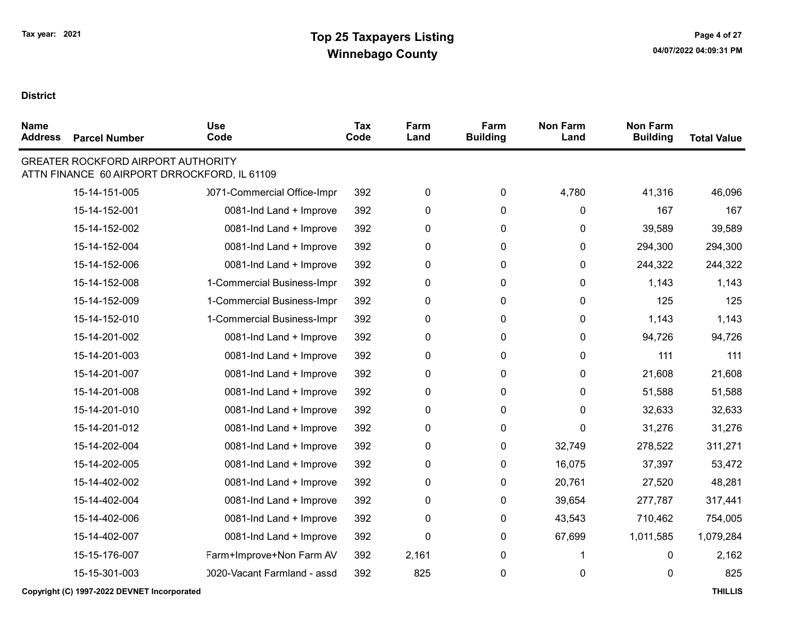| <b>Name</b><br><b>Address</b> | <b>Parcel Number</b>                      | <b>Use</b><br>Code                           | <b>Tax</b><br>Code | Farm<br>Land | Farm<br><b>Building</b> | <b>Non Farm</b><br>Land | <b>Non Farm</b><br><b>Building</b> | <b>Total Value</b> |
|-------------------------------|-------------------------------------------|----------------------------------------------|--------------------|--------------|-------------------------|-------------------------|------------------------------------|--------------------|
|                               | <b>GREATER ROCKFORD AIRPORT AUTHORITY</b> | ATTN FINANCE 60 AIRPORT DRROCKFORD, IL 61109 |                    |              |                         |                         |                                    |                    |
|                               | 15-14-151-005                             | 0071-Commercial Office-Impr                  | 392                | 0            | 0                       | 4,780                   | 41,316                             | 46,096             |
|                               | 15-14-152-001                             | 0081-Ind Land + Improve                      | 392                | 0            | 0                       | 0                       | 167                                | 167                |
|                               | 15-14-152-002                             | 0081-Ind Land + Improve                      | 392                | 0            | 0                       | 0                       | 39,589                             | 39,589             |
|                               | 15-14-152-004                             | 0081-Ind Land + Improve                      | 392                | 0            | 0                       | 0                       | 294,300                            | 294,300            |
|                               | 15-14-152-006                             | 0081-Ind Land + Improve                      | 392                | 0            | 0                       | 0                       | 244,322                            | 244,322            |
|                               | 15-14-152-008                             | 1-Commercial Business-Impr                   | 392                | 0            | 0                       | 0                       | 1,143                              | 1,143              |
|                               | 15-14-152-009                             | 1-Commercial Business-Impr                   | 392                | 0            | 0                       | 0                       | 125                                | 125                |
|                               | 15-14-152-010                             | 1-Commercial Business-Impr                   | 392                | 0            | 0                       | 0                       | 1,143                              | 1,143              |
|                               | 15-14-201-002                             | 0081-Ind Land + Improve                      | 392                | 0            | 0                       | 0                       | 94,726                             | 94,726             |
|                               | 15-14-201-003                             | 0081-Ind Land + Improve                      | 392                | 0            | 0                       | 0                       | 111                                | 111                |
|                               | 15-14-201-007                             | 0081-Ind Land + Improve                      | 392                | 0            | 0                       | 0                       | 21,608                             | 21,608             |
|                               | 15-14-201-008                             | 0081-Ind Land + Improve                      | 392                | 0            | 0                       | 0                       | 51,588                             | 51,588             |
|                               | 15-14-201-010                             | 0081-Ind Land + Improve                      | 392                | 0            | 0                       | 0                       | 32,633                             | 32,633             |
|                               | 15-14-201-012                             | 0081-Ind Land + Improve                      | 392                | 0            | 0                       | 0                       | 31,276                             | 31,276             |
|                               | 15-14-202-004                             | 0081-Ind Land + Improve                      | 392                | 0            | 0                       | 32,749                  | 278,522                            | 311,271            |
|                               | 15-14-202-005                             | 0081-Ind Land + Improve                      | 392                | 0            | 0                       | 16,075                  | 37,397                             | 53,472             |
|                               | 15-14-402-002                             | 0081-Ind Land + Improve                      | 392                | 0            | 0                       | 20,761                  | 27,520                             | 48,281             |
|                               | 15-14-402-004                             | 0081-Ind Land + Improve                      | 392                | 0            | 0                       | 39,654                  | 277,787                            | 317,441            |
|                               | 15-14-402-006                             | 0081-Ind Land + Improve                      | 392                | 0            | 0                       | 43,543                  | 710,462                            | 754,005            |
|                               | 15-14-402-007                             | 0081-Ind Land + Improve                      | 392                | 0            | 0                       | 67,699                  | 1,011,585                          | 1,079,284          |
|                               | 15-15-176-007                             | Farm+Improve+Non Farm AV                     | 392                | 2,161        | 0                       | 1                       | 0                                  | 2,162              |
|                               | 15-15-301-003                             | 0020-Vacant Farmland - assd                  | 392                | 825          | 0                       | 0                       | 0                                  | 825                |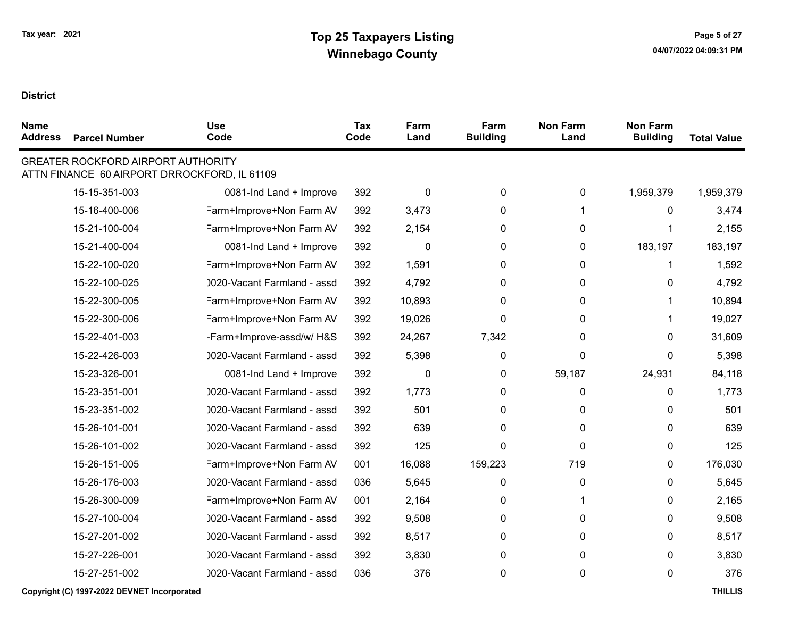$\blacksquare$ 

| <b>Name</b><br><b>Address</b> | <b>Parcel Number</b>                      | <b>Use</b><br>Code                           | <b>Tax</b><br>Code | Farm<br>Land | Farm<br><b>Building</b> | <b>Non Farm</b><br>Land | <b>Non Farm</b><br><b>Building</b> | <b>Total Value</b> |
|-------------------------------|-------------------------------------------|----------------------------------------------|--------------------|--------------|-------------------------|-------------------------|------------------------------------|--------------------|
|                               | <b>GREATER ROCKFORD AIRPORT AUTHORITY</b> | ATTN FINANCE 60 AIRPORT DRROCKFORD, IL 61109 |                    |              |                         |                         |                                    |                    |
|                               | 15-15-351-003                             | 0081-Ind Land + Improve                      | 392                | 0            | $\pmb{0}$               | 0                       | 1,959,379                          | 1,959,379          |
|                               | 15-16-400-006                             | Farm+Improve+Non Farm AV                     | 392                | 3,473        | $\mathbf 0$             | 1                       | 0                                  | 3,474              |
|                               | 15-21-100-004                             | Farm+Improve+Non Farm AV                     | 392                | 2,154        | 0                       | 0                       | 1                                  | 2,155              |
|                               | 15-21-400-004                             | 0081-Ind Land + Improve                      | 392                | 0            | 0                       | 0                       | 183,197                            | 183,197            |
|                               | 15-22-100-020                             | Farm+Improve+Non Farm AV                     | 392                | 1,591        | 0                       | 0                       | 1                                  | 1,592              |
|                               | 15-22-100-025                             | 0020-Vacant Farmland - assd                  | 392                | 4,792        | 0                       | 0                       | 0                                  | 4,792              |
|                               | 15-22-300-005                             | Farm+Improve+Non Farm AV                     | 392                | 10,893       | $\mathbf{0}$            | 0                       | 1.                                 | 10,894             |
|                               | 15-22-300-006                             | Farm+Improve+Non Farm AV                     | 392                | 19,026       | $\Omega$                | 0                       | 1                                  | 19,027             |
|                               | 15-22-401-003                             | -Farm+Improve-assd/w/ H&S                    | 392                | 24,267       | 7,342                   | 0                       | 0                                  | 31,609             |
|                               | 15-22-426-003                             | 0020-Vacant Farmland - assd                  | 392                | 5,398        | $\mathbf{0}$            | $\mathbf{0}$            | 0                                  | 5,398              |
|                               | 15-23-326-001                             | 0081-Ind Land + Improve                      | 392                | $\Omega$     | $\mathbf{0}$            | 59,187                  | 24,931                             | 84,118             |
|                               | 15-23-351-001                             | 0020-Vacant Farmland - assd                  | 392                | 1,773        | 0                       | 0                       | 0                                  | 1,773              |
|                               | 15-23-351-002                             | 0020-Vacant Farmland - assd                  | 392                | 501          | 0                       | 0                       | 0                                  | 501                |
|                               | 15-26-101-001                             | 0020-Vacant Farmland - assd                  | 392                | 639          | $\mathbf{0}$            | 0                       | 0                                  | 639                |
|                               | 15-26-101-002                             | 0020-Vacant Farmland - assd                  | 392                | 125          | $\mathbf 0$             | 0                       | 0                                  | 125                |
|                               | 15-26-151-005                             | Farm+Improve+Non Farm AV                     | 001                | 16,088       | 159,223                 | 719                     | 0                                  | 176,030            |
|                               | 15-26-176-003                             | 0020-Vacant Farmland - assd                  | 036                | 5,645        | $\mathbf{0}$            | 0                       | 0                                  | 5,645              |
|                               | 15-26-300-009                             | Farm+Improve+Non Farm AV                     | 001                | 2,164        | $\mathbf{0}$            | 1                       | 0                                  | 2,165              |
|                               | 15-27-100-004                             | 0020-Vacant Farmland - assd                  | 392                | 9,508        | 0                       | 0                       | 0                                  | 9,508              |
|                               | 15-27-201-002                             | 0020-Vacant Farmland - assd                  | 392                | 8,517        | $\mathbf{0}$            | 0                       | 0                                  | 8,517              |
|                               | 15-27-226-001                             | 0020-Vacant Farmland - assd                  | 392                | 3,830        | 0                       | 0                       | 0                                  | 3,830              |
|                               | 15-27-251-002                             | 0020-Vacant Farmland - assd                  | 036                | 376          | $\mathbf 0$             | 0                       | 0                                  | 376                |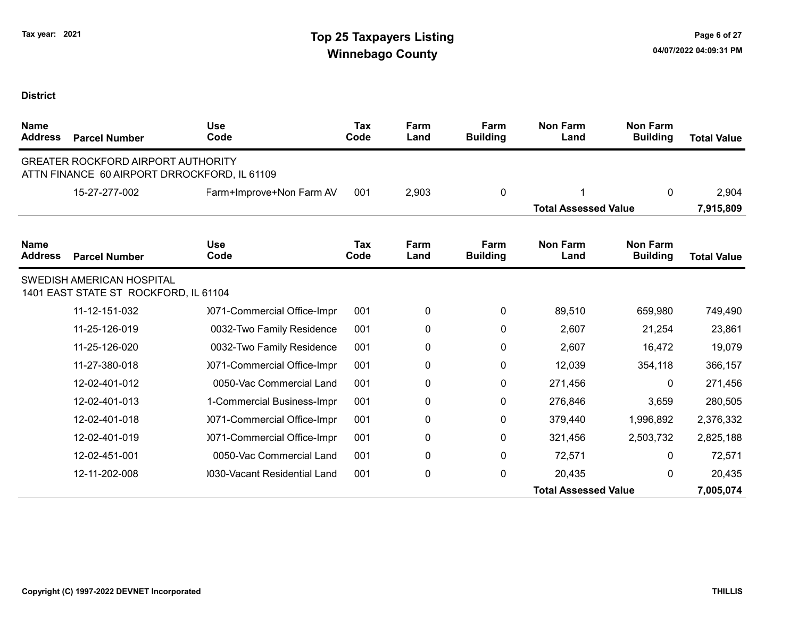| <b>Name</b><br><b>Address</b> | <b>Parcel Number</b>                                                                      | <b>Use</b><br>Code           | <b>Tax</b><br>Code | Farm<br>Land | Farm<br><b>Building</b> | <b>Non Farm</b><br>Land     | <b>Non Farm</b><br><b>Building</b> | <b>Total Value</b> |
|-------------------------------|-------------------------------------------------------------------------------------------|------------------------------|--------------------|--------------|-------------------------|-----------------------------|------------------------------------|--------------------|
|                               | <b>GREATER ROCKFORD AIRPORT AUTHORITY</b><br>ATTN FINANCE 60 AIRPORT DRROCKFORD, IL 61109 |                              |                    |              |                         |                             |                                    |                    |
|                               | 15-27-277-002                                                                             | Farm+Improve+Non Farm AV     | 001                | 2,903        | 0                       |                             | $\mathbf{0}$                       | 2,904              |
|                               |                                                                                           |                              |                    |              |                         | <b>Total Assessed Value</b> |                                    | 7,915,809          |
| <b>Name</b><br><b>Address</b> | <b>Parcel Number</b>                                                                      | <b>Use</b><br>Code           | Tax<br>Code        | Farm<br>Land | Farm<br><b>Building</b> | <b>Non Farm</b><br>Land     | <b>Non Farm</b><br><b>Building</b> | <b>Total Value</b> |
|                               | <b>SWEDISH AMERICAN HOSPITAL</b><br>1401 EAST STATE ST ROCKFORD, IL 61104                 |                              |                    |              |                         |                             |                                    |                    |
|                               | 11-12-151-032                                                                             | 0071-Commercial Office-Impr  | 001                | 0            | 0                       | 89,510                      | 659,980                            | 749,490            |
|                               | 11-25-126-019                                                                             | 0032-Two Family Residence    | 001                | 0            | 0                       | 2,607                       | 21,254                             | 23,861             |
|                               | 11-25-126-020                                                                             | 0032-Two Family Residence    | 001                | 0            | 0                       | 2,607                       | 16,472                             | 19,079             |
|                               | 11-27-380-018                                                                             | 0071-Commercial Office-Impr  | 001                | 0            | 0                       | 12,039                      | 354,118                            | 366,157            |
|                               | 12-02-401-012                                                                             | 0050-Vac Commercial Land     | 001                | 0            | $\mathbf{0}$            | 271,456                     | $\mathbf{0}$                       | 271,456            |
|                               | 12-02-401-013                                                                             | 1-Commercial Business-Impr   | 001                | 0            | 0                       | 276,846                     | 3,659                              | 280,505            |
|                               | 12-02-401-018                                                                             | 0071-Commercial Office-Impr  | 001                | 0            | 0                       | 379,440                     | 1,996,892                          | 2,376,332          |
|                               | 12-02-401-019                                                                             | 0071-Commercial Office-Impr  | 001                | 0            | 0                       | 321,456                     | 2,503,732                          | 2,825,188          |
|                               | 12-02-451-001                                                                             | 0050-Vac Commercial Land     | 001                | 0            | 0                       | 72,571                      | 0                                  | 72,571             |
|                               | 12-11-202-008                                                                             | 0030-Vacant Residential Land | 001                | 0            | $\mathbf{0}$            | 20,435                      | $\mathbf{0}$                       | 20,435             |
|                               |                                                                                           |                              |                    |              |                         | <b>Total Assessed Value</b> |                                    | 7,005,074          |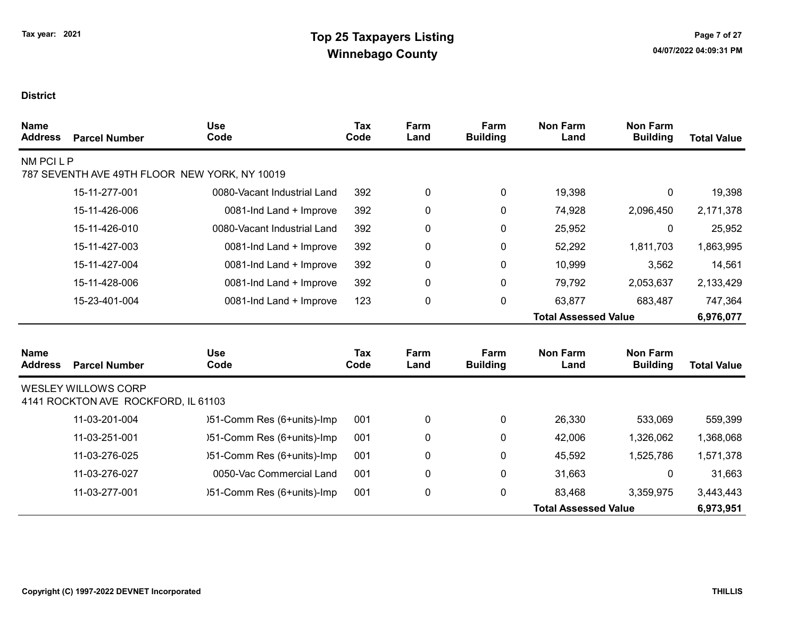| <b>Name</b><br><b>Address</b> | <b>Parcel Number</b>                                              | <b>Use</b><br>Code                            | <b>Tax</b><br>Code | Farm<br>Land | Farm<br><b>Building</b> | <b>Non Farm</b><br>Land     | <b>Non Farm</b><br><b>Building</b> | <b>Total Value</b> |
|-------------------------------|-------------------------------------------------------------------|-----------------------------------------------|--------------------|--------------|-------------------------|-----------------------------|------------------------------------|--------------------|
| NM PCI L P                    |                                                                   |                                               |                    |              |                         |                             |                                    |                    |
|                               |                                                                   | 787 SEVENTH AVE 49TH FLOOR NEW YORK, NY 10019 |                    |              |                         |                             |                                    |                    |
|                               | 15-11-277-001                                                     | 0080-Vacant Industrial Land                   | 392                | 0            | $\mathbf 0$             | 19,398                      | $\mathbf 0$                        | 19,398             |
|                               | 15-11-426-006                                                     | 0081-Ind Land + Improve                       | 392                | 0            | 0                       | 74,928                      | 2,096,450                          | 2,171,378          |
|                               | 15-11-426-010                                                     | 0080-Vacant Industrial Land                   | 392                | 0            | 0                       | 25,952                      | 0                                  | 25,952             |
|                               | 15-11-427-003                                                     | 0081-Ind Land + Improve                       | 392                | 0            | 0                       | 52,292                      | 1,811,703                          | 1,863,995          |
|                               | 15-11-427-004                                                     | 0081-Ind Land + Improve                       | 392                | 0            | 0                       | 10,999                      | 3,562                              | 14,561             |
|                               | 15-11-428-006                                                     | 0081-Ind Land + Improve                       | 392                | 0            | 0                       | 79,792                      | 2,053,637                          | 2,133,429          |
|                               | 15-23-401-004                                                     | 0081-Ind Land + Improve                       | 123                | 0            | 0                       | 63,877                      | 683,487                            | 747,364            |
|                               |                                                                   |                                               |                    |              |                         | <b>Total Assessed Value</b> |                                    | 6,976,077          |
| <b>Name</b>                   |                                                                   | <b>Use</b>                                    | Tax                | Farm         | Farm                    | <b>Non Farm</b>             | <b>Non Farm</b>                    |                    |
| <b>Address</b>                | <b>Parcel Number</b>                                              | Code                                          | Code               | Land         | <b>Building</b>         | Land                        | <b>Building</b>                    | <b>Total Value</b> |
|                               | <b>WESLEY WILLOWS CORP</b><br>4141 ROCKTON AVE ROCKFORD, IL 61103 |                                               |                    |              |                         |                             |                                    |                    |
|                               | 11-03-201-004                                                     | )51-Comm Res (6+units)-Imp                    | 001                | 0            | 0                       | 26,330                      | 533,069                            | 559,399            |
|                               | 11-03-251-001                                                     | )51-Comm Res (6+units)-Imp                    | 001                | 0            | 0                       | 42,006                      | 1,326,062                          | 1,368,068          |
|                               | 11-03-276-025                                                     | )51-Comm Res (6+units)-Imp                    | 001                | 0            | 0                       | 45,592                      | 1,525,786                          | 1,571,378          |
|                               | 11-03-276-027                                                     | 0050-Vac Commercial Land                      | 001                | 0            | 0                       | 31,663                      | 0                                  | 31,663             |
|                               | 11-03-277-001                                                     | )51-Comm Res (6+units)-Imp                    | 001                | 0            | 0                       | 83,468                      | 3,359,975                          | 3,443,443          |
|                               |                                                                   |                                               |                    |              |                         | <b>Total Assessed Value</b> |                                    | 6,973,951          |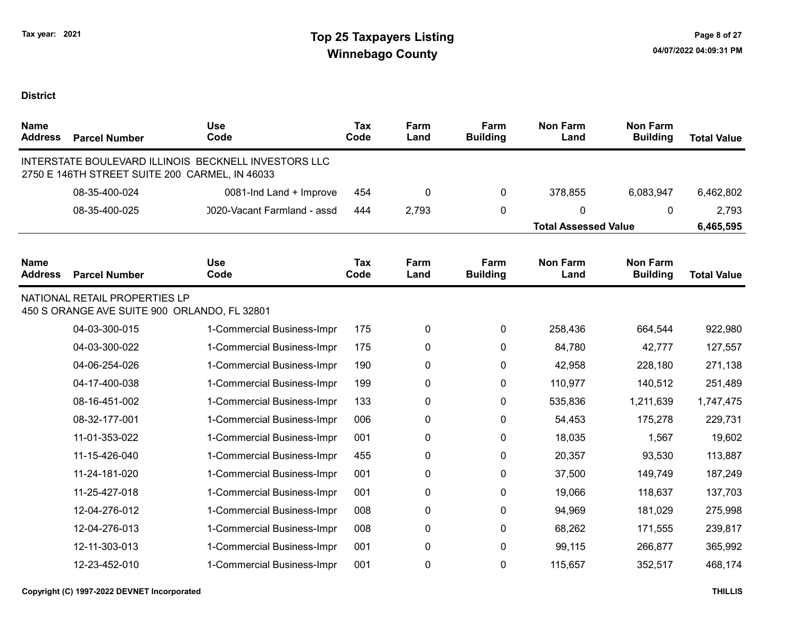| <b>Name</b><br><b>Address</b> | <b>Parcel Number</b>                                                          | <b>Use</b><br>Code                                   | <b>Tax</b><br>Code | Farm<br>Land | Farm<br><b>Building</b> | <b>Non Farm</b><br>Land     | <b>Non Farm</b><br><b>Building</b> | <b>Total Value</b> |
|-------------------------------|-------------------------------------------------------------------------------|------------------------------------------------------|--------------------|--------------|-------------------------|-----------------------------|------------------------------------|--------------------|
|                               | 2750 E 146TH STREET SUITE 200 CARMEL, IN 46033                                | INTERSTATE BOULEVARD ILLINOIS BECKNELL INVESTORS LLC |                    |              |                         |                             |                                    |                    |
|                               | 08-35-400-024                                                                 | 0081-Ind Land + Improve                              | 454                | 0            | $\mathbf 0$             | 378,855                     | 6,083,947                          | 6,462,802          |
|                               | 08-35-400-025                                                                 | 0020-Vacant Farmland - assd                          | 444                | 2,793        | 0                       | 0                           | $\mathbf{0}$                       | 2,793              |
|                               |                                                                               |                                                      |                    |              |                         | <b>Total Assessed Value</b> |                                    | 6,465,595          |
| <b>Name</b><br><b>Address</b> | <b>Parcel Number</b>                                                          | <b>Use</b><br>Code                                   | <b>Tax</b><br>Code | Farm<br>Land | Farm<br><b>Building</b> | <b>Non Farm</b><br>Land     | <b>Non Farm</b><br><b>Building</b> | <b>Total Value</b> |
|                               | NATIONAL RETAIL PROPERTIES LP<br>450 S ORANGE AVE SUITE 900 ORLANDO, FL 32801 |                                                      |                    |              |                         |                             |                                    |                    |
|                               | 04-03-300-015                                                                 | 1-Commercial Business-Impr                           | 175                | 0            | $\mathbf 0$             | 258,436                     | 664,544                            | 922,980            |
|                               | 04-03-300-022                                                                 | 1-Commercial Business-Impr                           | 175                | 0            | 0                       | 84,780                      | 42,777                             | 127,557            |
|                               | 04-06-254-026                                                                 | 1-Commercial Business-Impr                           | 190                | 0            | 0                       | 42,958                      | 228,180                            | 271,138            |
|                               | 04-17-400-038                                                                 | 1-Commercial Business-Impr                           | 199                | 0            | 0                       | 110,977                     | 140,512                            | 251,489            |
|                               | 08-16-451-002                                                                 | 1-Commercial Business-Impr                           | 133                | 0            | 0                       | 535,836                     | 1,211,639                          | 1,747,475          |
|                               | 08-32-177-001                                                                 | 1-Commercial Business-Impr                           | 006                | 0            | 0                       | 54,453                      | 175,278                            | 229,731            |
|                               | 11-01-353-022                                                                 | 1-Commercial Business-Impr                           | 001                | 0            | 0                       | 18,035                      | 1,567                              | 19,602             |
|                               | 11-15-426-040                                                                 | 1-Commercial Business-Impr                           | 455                | 0            | 0                       | 20,357                      | 93,530                             | 113,887            |
|                               | 11-24-181-020                                                                 | 1-Commercial Business-Impr                           | 001                | 0            | 0                       | 37,500                      | 149,749                            | 187,249            |
|                               | 11-25-427-018                                                                 | 1-Commercial Business-Impr                           | 001                | 0            | 0                       | 19,066                      | 118,637                            | 137,703            |
|                               | 12-04-276-012                                                                 | 1-Commercial Business-Impr                           | 008                | 0            | 0                       | 94,969                      | 181,029                            | 275,998            |
|                               | 12-04-276-013                                                                 | 1-Commercial Business-Impr                           | 008                | 0            | 0                       | 68,262                      | 171,555                            | 239,817            |
|                               | 12-11-303-013                                                                 | 1-Commercial Business-Impr                           | 001                | $\mathbf 0$  | 0                       | 99,115                      | 266,877                            | 365,992            |
|                               | 12-23-452-010                                                                 | 1-Commercial Business-Impr                           | 001                | 0            | 0                       | 115,657                     | 352,517                            | 468,174            |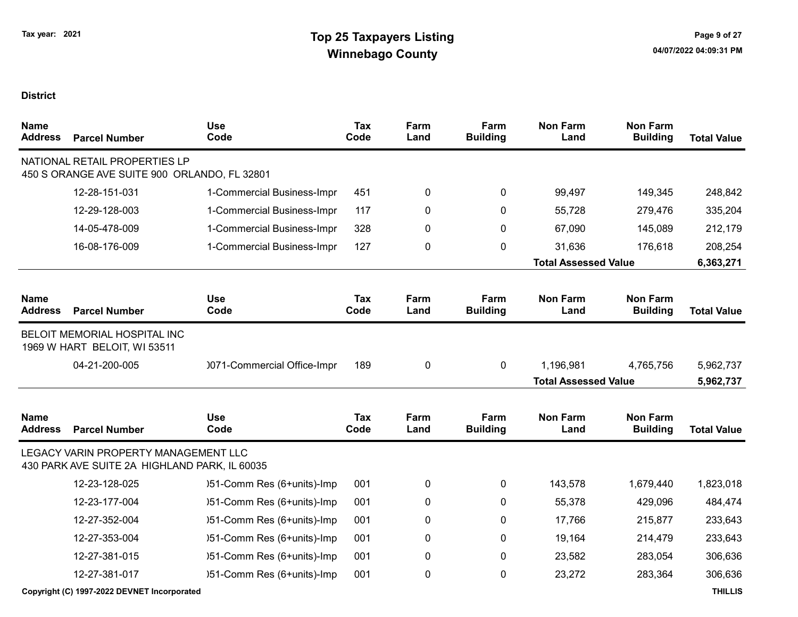| <b>Name</b><br><b>Address</b> | <b>Parcel Number</b>                                                                  | <b>Use</b><br>Code          | <b>Tax</b><br>Code | Farm<br>Land | Farm<br><b>Building</b> | <b>Non Farm</b><br>Land     | <b>Non Farm</b><br><b>Building</b> | <b>Total Value</b> |
|-------------------------------|---------------------------------------------------------------------------------------|-----------------------------|--------------------|--------------|-------------------------|-----------------------------|------------------------------------|--------------------|
|                               | NATIONAL RETAIL PROPERTIES LP<br>450 S ORANGE AVE SUITE 900 ORLANDO, FL 32801         |                             |                    |              |                         |                             |                                    |                    |
|                               | 12-28-151-031                                                                         | 1-Commercial Business-Impr  | 451                | 0            | 0                       | 99,497                      | 149,345                            | 248,842            |
|                               | 12-29-128-003                                                                         | 1-Commercial Business-Impr  | 117                | 0            | 0                       | 55,728                      | 279,476                            | 335,204            |
|                               | 14-05-478-009                                                                         | 1-Commercial Business-Impr  | 328                | 0            | 0                       | 67,090                      | 145,089                            | 212,179            |
|                               | 16-08-176-009                                                                         | 1-Commercial Business-Impr  | 127                | 0            | 0                       | 31,636                      | 176,618                            | 208,254            |
|                               |                                                                                       |                             |                    |              |                         | <b>Total Assessed Value</b> |                                    | 6,363,271          |
| <b>Name</b><br><b>Address</b> | <b>Parcel Number</b>                                                                  | <b>Use</b><br>Code          | <b>Tax</b><br>Code | Farm<br>Land | Farm<br><b>Building</b> | <b>Non Farm</b><br>Land     | <b>Non Farm</b><br><b>Building</b> | <b>Total Value</b> |
|                               | <b>BELOIT MEMORIAL HOSPITAL INC</b><br>1969 W HART BELOIT, WI 53511                   |                             |                    |              |                         |                             |                                    |                    |
|                               | 04-21-200-005                                                                         | 0071-Commercial Office-Impr | 189                | 0            | 0                       | 1,196,981                   | 4,765,756                          | 5,962,737          |
|                               |                                                                                       |                             |                    |              |                         | <b>Total Assessed Value</b> |                                    | 5,962,737          |
| <b>Name</b><br><b>Address</b> | <b>Parcel Number</b>                                                                  | <b>Use</b><br>Code          | <b>Tax</b><br>Code | Farm<br>Land | Farm<br><b>Building</b> | <b>Non Farm</b><br>Land     | <b>Non Farm</b><br><b>Building</b> | <b>Total Value</b> |
|                               | LEGACY VARIN PROPERTY MANAGEMENT LLC<br>430 PARK AVE SUITE 2A HIGHLAND PARK, IL 60035 |                             |                    |              |                         |                             |                                    |                    |
|                               | 12-23-128-025                                                                         | )51-Comm Res (6+units)-Imp  | 001                | 0            | 0                       | 143,578                     | 1,679,440                          | 1,823,018          |
|                               | 12-23-177-004                                                                         | )51-Comm Res (6+units)-Imp  | 001                | 0            | 0                       | 55,378                      | 429,096                            | 484,474            |
|                               | 12-27-352-004                                                                         | )51-Comm Res (6+units)-Imp  | 001                | 0            | 0                       | 17,766                      | 215,877                            | 233,643            |
|                               | 12-27-353-004                                                                         | )51-Comm Res (6+units)-Imp  | 001                | 0            | 0                       | 19,164                      | 214,479                            | 233,643            |
|                               | 12-27-381-015                                                                         | )51-Comm Res (6+units)-Imp  | 001                | 0            | 0                       | 23,582                      | 283,054                            | 306,636            |
|                               | 12-27-381-017                                                                         | )51-Comm Res (6+units)-Imp  | 001                | 0            | 0                       | 23,272                      | 283,364                            | 306,636            |
|                               | Copyright (C) 1997-2022 DEVNET Incorporated                                           |                             |                    |              |                         |                             |                                    | <b>THILLIS</b>     |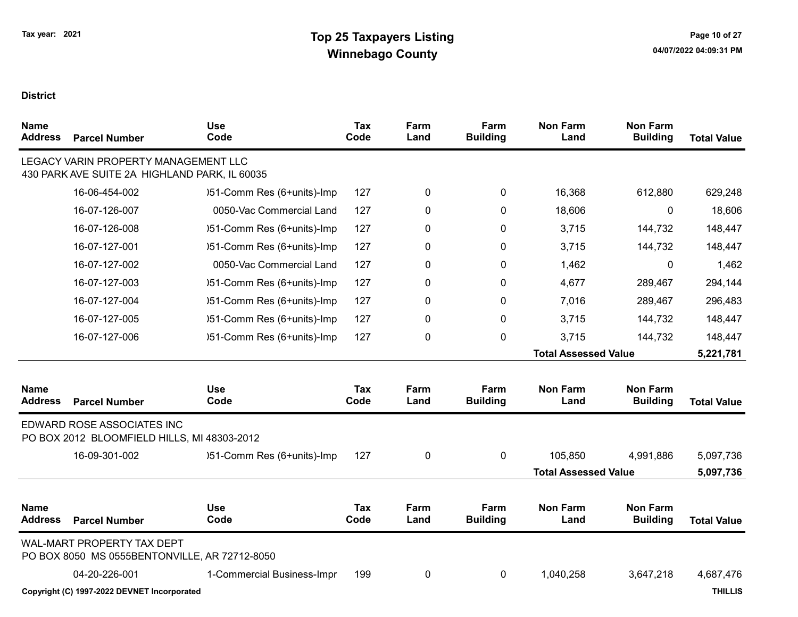| Name<br><b>Address</b>        | <b>Parcel Number</b>                                                                  | <b>Use</b><br>Code         | <b>Tax</b><br>Code | Farm<br>Land | Farm<br><b>Building</b> | <b>Non Farm</b><br>Land     | <b>Non Farm</b><br><b>Building</b> | <b>Total Value</b> |
|-------------------------------|---------------------------------------------------------------------------------------|----------------------------|--------------------|--------------|-------------------------|-----------------------------|------------------------------------|--------------------|
|                               | LEGACY VARIN PROPERTY MANAGEMENT LLC<br>430 PARK AVE SUITE 2A HIGHLAND PARK, IL 60035 |                            |                    |              |                         |                             |                                    |                    |
|                               | 16-06-454-002                                                                         | )51-Comm Res (6+units)-Imp | 127                | 0            | 0                       | 16,368                      | 612,880                            | 629,248            |
|                               | 16-07-126-007                                                                         | 0050-Vac Commercial Land   | 127                | 0            | 0                       | 18,606                      | 0                                  | 18,606             |
|                               | 16-07-126-008                                                                         | )51-Comm Res (6+units)-Imp | 127                | 0            | 0                       | 3,715                       | 144,732                            | 148,447            |
|                               | 16-07-127-001                                                                         | )51-Comm Res (6+units)-Imp | 127                | 0            | 0                       | 3,715                       | 144,732                            | 148,447            |
|                               | 16-07-127-002                                                                         | 0050-Vac Commercial Land   | 127                | 0            | 0                       | 1,462                       | 0                                  | 1,462              |
|                               | 16-07-127-003                                                                         | )51-Comm Res (6+units)-Imp | 127                | 0            | 0                       | 4,677                       | 289,467                            | 294,144            |
|                               | 16-07-127-004                                                                         | )51-Comm Res (6+units)-Imp | 127                | 0            | 0                       | 7,016                       | 289,467                            | 296,483            |
|                               | 16-07-127-005                                                                         | )51-Comm Res (6+units)-Imp | 127                | 0            | 0                       | 3,715                       | 144,732                            | 148,447            |
|                               | 16-07-127-006                                                                         | )51-Comm Res (6+units)-Imp | 127                | 0            | 0                       | 3,715                       | 144,732                            | 148,447            |
|                               |                                                                                       |                            |                    |              |                         | <b>Total Assessed Value</b> |                                    | 5,221,781          |
| <b>Name</b><br><b>Address</b> | <b>Parcel Number</b>                                                                  | <b>Use</b><br>Code         | <b>Tax</b><br>Code | Farm<br>Land | Farm<br><b>Building</b> | <b>Non Farm</b><br>Land     | <b>Non Farm</b><br><b>Building</b> | <b>Total Value</b> |
|                               | EDWARD ROSE ASSOCIATES INC<br>PO BOX 2012 BLOOMFIELD HILLS, MI 48303-2012             |                            |                    |              |                         |                             |                                    |                    |
|                               | 16-09-301-002                                                                         | )51-Comm Res (6+units)-Imp | 127                | 0            | $\mathbf 0$             | 105,850                     | 4,991,886                          | 5,097,736          |
|                               |                                                                                       |                            |                    |              |                         | <b>Total Assessed Value</b> |                                    | 5,097,736          |
| <b>Name</b><br><b>Address</b> | <b>Parcel Number</b>                                                                  | <b>Use</b><br>Code         | <b>Tax</b><br>Code | Farm<br>Land | Farm<br><b>Building</b> | <b>Non Farm</b><br>Land     | <b>Non Farm</b><br><b>Building</b> | <b>Total Value</b> |
|                               | WAL-MART PROPERTY TAX DEPT<br>PO BOX 8050 MS 0555BENTONVILLE, AR 72712-8050           |                            |                    |              |                         |                             |                                    |                    |
|                               | 04-20-226-001                                                                         | 1-Commercial Business-Impr | 199                | 0            | 0                       | 1,040,258                   | 3,647,218                          | 4,687,476          |
|                               | Copyright (C) 1997-2022 DEVNET Incorporated                                           |                            |                    |              |                         |                             |                                    | <b>THILLIS</b>     |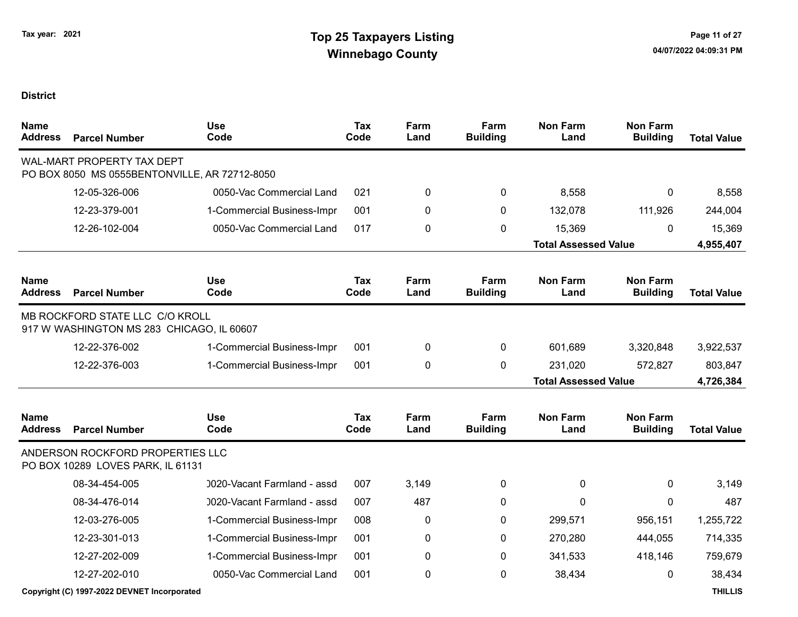| <b>Name</b><br><b>Address</b> | <b>Parcel Number</b>                                                               | <b>Use</b><br>Code          | <b>Tax</b><br>Code | Farm<br>Land | Farm<br><b>Building</b> | <b>Non Farm</b><br>Land     | <b>Non Farm</b><br><b>Building</b> | <b>Total Value</b> |
|-------------------------------|------------------------------------------------------------------------------------|-----------------------------|--------------------|--------------|-------------------------|-----------------------------|------------------------------------|--------------------|
|                               | <b>WAL-MART PROPERTY TAX DEPT</b><br>PO BOX 8050 MS 0555BENTONVILLE, AR 72712-8050 |                             |                    |              |                         |                             |                                    |                    |
|                               | 12-05-326-006                                                                      | 0050-Vac Commercial Land    | 021                | 0            | 0                       | 8,558                       | 0                                  | 8,558              |
|                               | 12-23-379-001                                                                      | 1-Commercial Business-Impr  | 001                | 0            | $\mathbf{0}$            | 132,078                     | 111,926                            | 244,004            |
|                               | 12-26-102-004                                                                      | 0050-Vac Commercial Land    | 017                | 0            | 0                       | 15,369                      | $\mathbf{0}$                       | 15,369             |
|                               |                                                                                    |                             |                    |              |                         | <b>Total Assessed Value</b> |                                    | 4,955,407          |
| <b>Name</b><br><b>Address</b> | <b>Parcel Number</b>                                                               | <b>Use</b><br>Code          | Tax<br>Code        | Farm<br>Land | Farm<br><b>Building</b> | <b>Non Farm</b><br>Land     | <b>Non Farm</b><br><b>Building</b> | <b>Total Value</b> |
|                               | MB ROCKFORD STATE LLC C/O KROLL<br>917 W WASHINGTON MS 283 CHICAGO, IL 60607       |                             |                    |              |                         |                             |                                    |                    |
|                               | 12-22-376-002                                                                      | 1-Commercial Business-Impr  | 001                | 0            | 0                       | 601,689                     | 3,320,848                          | 3,922,537          |
|                               | 12-22-376-003                                                                      | 1-Commercial Business-Impr  | 001                | 0            | $\mathbf{0}$            | 231,020                     | 572,827                            | 803,847            |
|                               |                                                                                    |                             |                    |              |                         | <b>Total Assessed Value</b> |                                    | 4,726,384          |
| <b>Name</b><br><b>Address</b> | <b>Parcel Number</b>                                                               | <b>Use</b><br>Code          | <b>Tax</b><br>Code | Farm<br>Land | Farm<br><b>Building</b> | <b>Non Farm</b><br>Land     | <b>Non Farm</b><br><b>Building</b> | <b>Total Value</b> |
|                               | ANDERSON ROCKFORD PROPERTIES LLC<br>PO BOX 10289 LOVES PARK, IL 61131              |                             |                    |              |                         |                             |                                    |                    |
|                               | 08-34-454-005                                                                      | 0020-Vacant Farmland - assd | 007                | 3,149        | $\mathbf{0}$            | $\mathbf{0}$                | $\mathbf{0}$                       | 3,149              |
|                               | 08-34-476-014                                                                      | 0020-Vacant Farmland - assd | 007                | 487          | $\mathbf{0}$            | $\mathbf{0}$                | $\mathbf 0$                        | 487                |
|                               | 12-03-276-005                                                                      | 1-Commercial Business-Impr  | 008                | 0            | $\mathbf{0}$            | 299,571                     | 956,151                            | 1,255,722          |
|                               | 12-23-301-013                                                                      | 1-Commercial Business-Impr  | 001                | 0            | $\mathbf{0}$            | 270,280                     | 444,055                            | 714,335            |
|                               | 12-27-202-009                                                                      | 1-Commercial Business-Impr  | 001                | 0            | 0                       | 341,533                     | 418,146                            | 759,679            |
|                               | 12-27-202-010                                                                      | 0050-Vac Commercial Land    | 001                | 0            | $\mathbf 0$             | 38,434                      | 0                                  | 38,434             |
|                               | Copyright (C) 1997-2022 DEVNET Incorporated                                        |                             |                    |              |                         |                             |                                    | <b>THILLIS</b>     |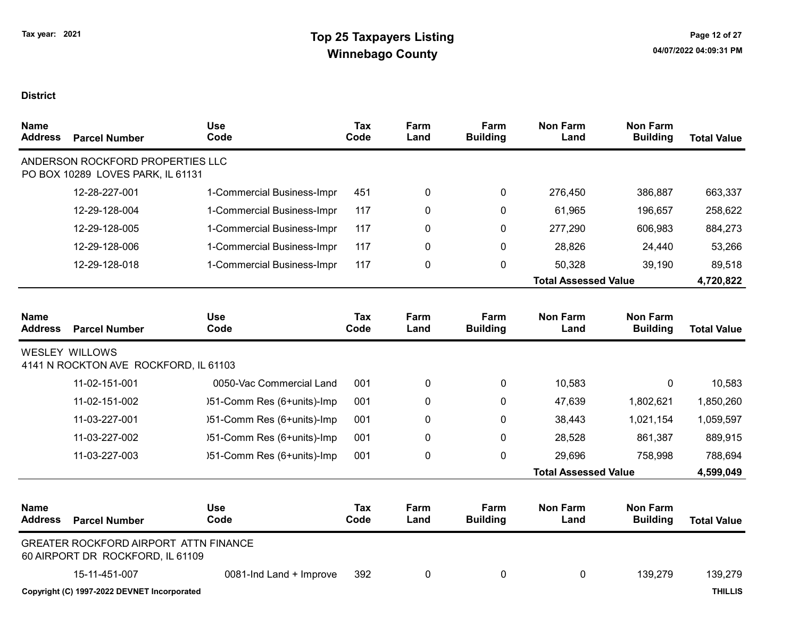| <b>Name</b><br><b>Address</b> | <b>Parcel Number</b>                                                             | <b>Use</b><br>Code         | <b>Tax</b><br>Code | Farm<br>Land | Farm<br><b>Building</b> | <b>Non Farm</b><br>Land     | <b>Non Farm</b><br><b>Building</b> | <b>Total Value</b> |
|-------------------------------|----------------------------------------------------------------------------------|----------------------------|--------------------|--------------|-------------------------|-----------------------------|------------------------------------|--------------------|
|                               | ANDERSON ROCKFORD PROPERTIES LLC<br>PO BOX 10289 LOVES PARK, IL 61131            |                            |                    |              |                         |                             |                                    |                    |
|                               | 12-28-227-001                                                                    | 1-Commercial Business-Impr | 451                | 0            | 0                       | 276,450                     | 386,887                            | 663,337            |
|                               | 12-29-128-004                                                                    | 1-Commercial Business-Impr | 117                | 0            | $\mathbf{0}$            | 61,965                      | 196,657                            | 258,622            |
|                               | 12-29-128-005                                                                    | 1-Commercial Business-Impr | 117                | 0            | 0                       | 277,290                     | 606,983                            | 884,273            |
|                               | 12-29-128-006                                                                    | 1-Commercial Business-Impr | 117                | 0            | 0                       | 28,826                      | 24,440                             | 53,266             |
|                               | 12-29-128-018                                                                    | 1-Commercial Business-Impr | 117                | 0            | 0                       | 50,328                      | 39,190                             | 89,518             |
|                               |                                                                                  |                            |                    |              |                         | <b>Total Assessed Value</b> |                                    | 4,720,822          |
|                               |                                                                                  |                            |                    |              |                         |                             |                                    |                    |
| <b>Name</b><br><b>Address</b> | <b>Parcel Number</b>                                                             | <b>Use</b><br>Code         | <b>Tax</b><br>Code | Farm<br>Land | Farm<br><b>Building</b> | <b>Non Farm</b><br>Land     | <b>Non Farm</b><br><b>Building</b> | <b>Total Value</b> |
|                               | <b>WESLEY WILLOWS</b><br>4141 N ROCKTON AVE ROCKFORD, IL 61103                   |                            |                    |              |                         |                             |                                    |                    |
|                               | 11-02-151-001                                                                    | 0050-Vac Commercial Land   | 001                | 0            | 0                       | 10,583                      | 0                                  | 10,583             |
|                               | 11-02-151-002                                                                    | )51-Comm Res (6+units)-Imp | 001                | 0            | $\mathbf{0}$            | 47,639                      | 1,802,621                          | 1,850,260          |
|                               | 11-03-227-001                                                                    | )51-Comm Res (6+units)-Imp | 001                | 0            | 0                       | 38,443                      | 1,021,154                          | 1,059,597          |
|                               | 11-03-227-002                                                                    | )51-Comm Res (6+units)-Imp | 001                | 0            | 0                       | 28,528                      | 861,387                            | 889,915            |
|                               | 11-03-227-003                                                                    | )51-Comm Res (6+units)-Imp | 001                | 0            | 0                       | 29,696                      | 758,998                            | 788,694            |
|                               |                                                                                  |                            |                    |              |                         | <b>Total Assessed Value</b> |                                    | 4,599,049          |
| <b>Name</b><br><b>Address</b> | <b>Parcel Number</b>                                                             | <b>Use</b><br>Code         | <b>Tax</b><br>Code | Farm<br>Land | Farm<br><b>Building</b> | <b>Non Farm</b><br>Land     | <b>Non Farm</b><br><b>Building</b> | <b>Total Value</b> |
|                               | <b>GREATER ROCKFORD AIRPORT ATTN FINANCE</b><br>60 AIRPORT DR ROCKFORD, IL 61109 |                            |                    |              |                         |                             |                                    |                    |
|                               | 15-11-451-007                                                                    | 0081-Ind Land + Improve    | 392                | 0            | 0                       | 0                           | 139,279                            | 139,279            |
|                               | Copyright (C) 1997-2022 DEVNET Incorporated                                      |                            |                    |              |                         |                             |                                    | <b>THILLIS</b>     |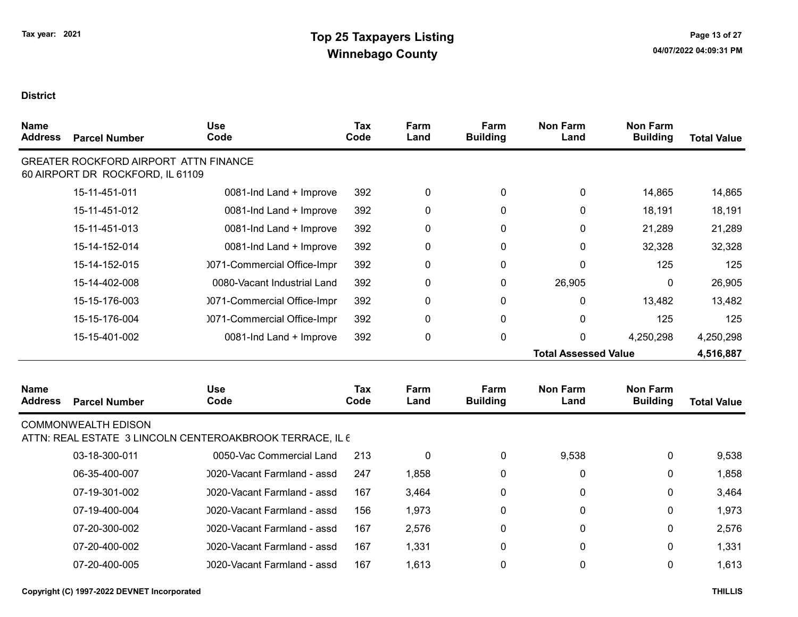| <b>Name</b><br><b>Address</b> | <b>Parcel Number</b>                                                             | <b>Use</b><br>Code                                       | <b>Tax</b><br>Code | Farm<br>Land | Farm<br><b>Building</b> | <b>Non Farm</b><br>Land     | <b>Non Farm</b><br><b>Building</b> | <b>Total Value</b> |
|-------------------------------|----------------------------------------------------------------------------------|----------------------------------------------------------|--------------------|--------------|-------------------------|-----------------------------|------------------------------------|--------------------|
|                               | <b>GREATER ROCKFORD AIRPORT ATTN FINANCE</b><br>60 AIRPORT DR ROCKFORD, IL 61109 |                                                          |                    |              |                         |                             |                                    |                    |
|                               | 15-11-451-011                                                                    | 0081-Ind Land + Improve                                  | 392                | 0            | 0                       | 0                           | 14,865                             | 14,865             |
|                               | 15-11-451-012                                                                    | 0081-Ind Land + Improve                                  | 392                | 0            | 0                       | 0                           | 18,191                             | 18,191             |
|                               | 15-11-451-013                                                                    | 0081-Ind Land + Improve                                  | 392                | 0            | 0                       | 0                           | 21,289                             | 21,289             |
|                               | 15-14-152-014                                                                    | 0081-Ind Land + Improve                                  | 392                | 0            | 0                       | 0                           | 32,328                             | 32,328             |
|                               | 15-14-152-015                                                                    | 0071-Commercial Office-Impr                              | 392                | 0            | 0                       | 0                           | 125                                | 125                |
|                               | 15-14-402-008                                                                    | 0080-Vacant Industrial Land                              | 392                | 0            | 0                       | 26,905                      | 0                                  | 26,905             |
|                               | 15-15-176-003                                                                    | 0071-Commercial Office-Impr                              | 392                | 0            | 0                       | 0                           | 13,482                             | 13,482             |
|                               | 15-15-176-004                                                                    | 0071-Commercial Office-Impr                              | 392                | 0            | 0                       | 0                           | 125                                | 125                |
|                               | 15-15-401-002                                                                    | 0081-Ind Land + Improve                                  | 392                | $\pmb{0}$    | 0                       | 0                           | 4,250,298                          | 4,250,298          |
|                               |                                                                                  |                                                          |                    |              |                         | <b>Total Assessed Value</b> |                                    | 4,516,887          |
| <b>Name</b><br><b>Address</b> | <b>Parcel Number</b>                                                             | <b>Use</b><br>Code                                       | <b>Tax</b><br>Code | Farm<br>Land | Farm<br><b>Building</b> | <b>Non Farm</b><br>Land     | <b>Non Farm</b><br><b>Building</b> | <b>Total Value</b> |
|                               | <b>COMMONWEALTH EDISON</b>                                                       | ATTN: REAL ESTATE 3 LINCOLN CENTEROAKBROOK TERRACE, IL 6 |                    |              |                         |                             |                                    |                    |
|                               | 03-18-300-011                                                                    | 0050-Vac Commercial Land                                 | 213                | $\pmb{0}$    | 0                       | 9,538                       | 0                                  | 9,538              |
|                               | 06-35-400-007                                                                    | 0020-Vacant Farmland - assd                              | 247                | 1,858        | 0                       | 0                           | 0                                  | 1,858              |
|                               | 07-19-301-002                                                                    | 0020-Vacant Farmland - assd                              | 167                | 3,464        | 0                       | 0                           | 0                                  | 3,464              |
|                               | 07-19-400-004                                                                    | 0020-Vacant Farmland - assd                              | 156                | 1,973        | 0                       | 0                           | 0                                  | 1,973              |
|                               | 07-20-300-002                                                                    | 0020-Vacant Farmland - assd                              | 167                | 2,576        | 0                       | 0                           | 0                                  | 2,576              |
|                               | 07-20-400-002                                                                    | 0020-Vacant Farmland - assd                              | 167                | 1,331        | 0                       | 0                           | 0                                  | 1,331              |
|                               | 07-20-400-005                                                                    | 0020-Vacant Farmland - assd                              | 167                | 1,613        | 0                       | 0                           | 0                                  | 1,613              |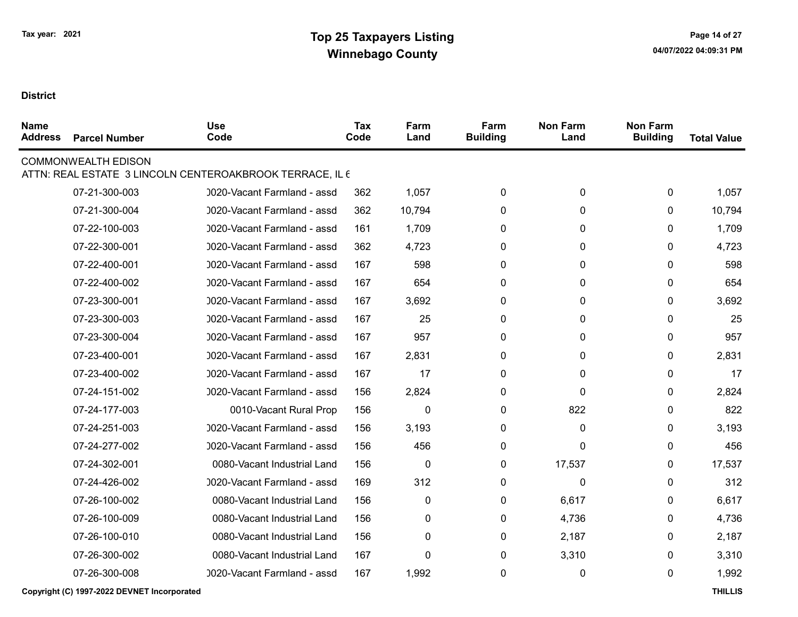| <b>Name</b><br><b>Address</b> | <b>Parcel Number</b>       | <b>Use</b><br>Code                                       | <b>Tax</b><br>Code | Farm<br>Land | Farm<br><b>Building</b> | <b>Non Farm</b><br>Land | <b>Non Farm</b><br><b>Building</b> | <b>Total Value</b> |
|-------------------------------|----------------------------|----------------------------------------------------------|--------------------|--------------|-------------------------|-------------------------|------------------------------------|--------------------|
|                               | <b>COMMONWEALTH EDISON</b> | ATTN: REAL ESTATE 3 LINCOLN CENTEROAKBROOK TERRACE, IL 6 |                    |              |                         |                         |                                    |                    |
|                               | 07-21-300-003              | 0020-Vacant Farmland - assd                              | 362                | 1,057        | 0                       | 0                       | 0                                  | 1,057              |
|                               | 07-21-300-004              | 0020-Vacant Farmland - assd                              | 362                | 10,794       | $\mathbf{0}$            | 0                       | $\mathbf{0}$                       | 10,794             |
|                               | 07-22-100-003              | 0020-Vacant Farmland - assd                              | 161                | 1,709        | 0                       | 0                       | 0                                  | 1,709              |
|                               | 07-22-300-001              | 0020-Vacant Farmland - assd                              | 362                | 4,723        | 0                       | 0                       | 0                                  | 4,723              |
|                               | 07-22-400-001              | 0020-Vacant Farmland - assd                              | 167                | 598          | 0                       | 0                       | 0                                  | 598                |
|                               | 07-22-400-002              | 0020-Vacant Farmland - assd                              | 167                | 654          | $\mathbf{0}$            | 0                       | $\mathbf{0}$                       | 654                |
|                               | 07-23-300-001              | 0020-Vacant Farmland - assd                              | 167                | 3,692        | $\mathbf{0}$            | 0                       | 0                                  | 3,692              |
|                               | 07-23-300-003              | 0020-Vacant Farmland - assd                              | 167                | 25           | $\mathbf{0}$            | 0                       | 0                                  | 25                 |
|                               | 07-23-300-004              | 0020-Vacant Farmland - assd                              | 167                | 957          | 0                       | 0                       | 0                                  | 957                |
|                               | 07-23-400-001              | 0020-Vacant Farmland - assd                              | 167                | 2,831        | 0                       | 0                       | 0                                  | 2,831              |
|                               | 07-23-400-002              | 0020-Vacant Farmland - assd                              | 167                | 17           | 0                       | 0                       | $\mathbf{0}$                       | 17                 |
|                               | 07-24-151-002              | 0020-Vacant Farmland - assd                              | 156                | 2,824        | 0                       | 0                       | $\mathbf{0}$                       | 2,824              |
|                               | 07-24-177-003              | 0010-Vacant Rural Prop                                   | 156                | $\mathbf{0}$ | $\mathbf{0}$            | 822                     | 0                                  | 822                |
|                               | 07-24-251-003              | 0020-Vacant Farmland - assd                              | 156                | 3,193        | 0                       | 0                       | 0                                  | 3,193              |
|                               | 07-24-277-002              | 0020-Vacant Farmland - assd                              | 156                | 456          | 0                       | 0                       | 0                                  | 456                |
|                               | 07-24-302-001              | 0080-Vacant Industrial Land                              | 156                | 0            | 0                       | 17,537                  | $\mathbf{0}$                       | 17,537             |
|                               | 07-24-426-002              | 0020-Vacant Farmland - assd                              | 169                | 312          | 0                       | 0                       | $\mathbf{0}$                       | 312                |
|                               | 07-26-100-002              | 0080-Vacant Industrial Land                              | 156                | 0            | $\mathbf{0}$            | 6,617                   | 0                                  | 6,617              |
|                               | 07-26-100-009              | 0080-Vacant Industrial Land                              | 156                | 0            | 0                       | 4,736                   | 0                                  | 4,736              |
|                               | 07-26-100-010              | 0080-Vacant Industrial Land                              | 156                | 0            | 0                       | 2,187                   | 0                                  | 2,187              |
|                               | 07-26-300-002              | 0080-Vacant Industrial Land                              | 167                | 0            | 0                       | 3,310                   | 0                                  | 3,310              |
|                               | 07-26-300-008              | 0020-Vacant Farmland - assd                              | 167                | 1,992        | 0                       | 0                       | $\mathbf{0}$                       | 1,992              |
|                               |                            |                                                          |                    |              |                         |                         |                                    |                    |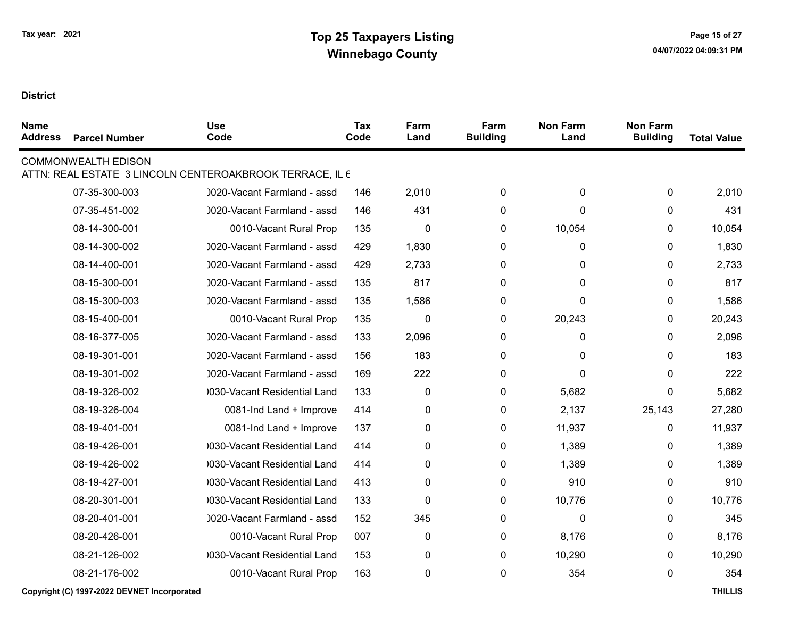| <b>Name</b><br><b>Address</b> | <b>Parcel Number</b>       | <b>Use</b><br>Code                                       | <b>Tax</b><br>Code | Farm<br>Land | Farm<br><b>Building</b> | <b>Non Farm</b><br>Land | <b>Non Farm</b><br><b>Building</b> | <b>Total Value</b> |
|-------------------------------|----------------------------|----------------------------------------------------------|--------------------|--------------|-------------------------|-------------------------|------------------------------------|--------------------|
|                               | <b>COMMONWEALTH EDISON</b> | ATTN: REAL ESTATE 3 LINCOLN CENTEROAKBROOK TERRACE, IL 6 |                    |              |                         |                         |                                    |                    |
|                               | 07-35-300-003              | 0020-Vacant Farmland - assd                              | 146                | 2,010        | 0                       | 0                       | 0                                  | 2,010              |
|                               | 07-35-451-002              | 0020-Vacant Farmland - assd                              | 146                | 431          | 0                       | 0                       | $\mathbf{0}$                       | 431                |
|                               | 08-14-300-001              | 0010-Vacant Rural Prop                                   | 135                | 0            | 0                       | 10,054                  | 0                                  | 10,054             |
|                               | 08-14-300-002              | 0020-Vacant Farmland - assd                              | 429                | 1,830        | 0                       | 0                       | 0                                  | 1,830              |
|                               | 08-14-400-001              | 0020-Vacant Farmland - assd                              | 429                | 2,733        | 0                       | 0                       | 0                                  | 2,733              |
|                               | 08-15-300-001              | 0020-Vacant Farmland - assd                              | 135                | 817          | 0                       | 0                       | 0                                  | 817                |
|                               | 08-15-300-003              | 0020-Vacant Farmland - assd                              | 135                | 1,586        | 0                       | 0                       | 0                                  | 1,586              |
|                               | 08-15-400-001              | 0010-Vacant Rural Prop                                   | 135                | $\mathbf 0$  | $\mathbf 0$             | 20,243                  | 0                                  | 20,243             |
|                               | 08-16-377-005              | 0020-Vacant Farmland - assd                              | 133                | 2,096        | 0                       | 0                       | 0                                  | 2,096              |
|                               | 08-19-301-001              | 0020-Vacant Farmland - assd                              | 156                | 183          | 0                       | 0                       | 0                                  | 183                |
|                               | 08-19-301-002              | 0020-Vacant Farmland - assd                              | 169                | 222          | 0                       | 0                       | 0                                  | 222                |
|                               | 08-19-326-002              | 0030-Vacant Residential Land                             | 133                | 0            | 0                       | 5,682                   | 0                                  | 5,682              |
|                               | 08-19-326-004              | 0081-Ind Land + Improve                                  | 414                | 0            | 0                       | 2,137                   | 25,143                             | 27,280             |
|                               | 08-19-401-001              | 0081-Ind Land + Improve                                  | 137                | 0            | 0                       | 11,937                  | 0                                  | 11,937             |
|                               | 08-19-426-001              | 0030-Vacant Residential Land                             | 414                | 0            | 0                       | 1,389                   | 0                                  | 1,389              |
|                               | 08-19-426-002              | 0030-Vacant Residential Land                             | 414                | 0            | 0                       | 1,389                   | 0                                  | 1,389              |
|                               | 08-19-427-001              | 0030-Vacant Residential Land                             | 413                | 0            | $\mathbf{0}$            | 910                     | 0                                  | 910                |
|                               | 08-20-301-001              | 0030-Vacant Residential Land                             | 133                | 0            | 0                       | 10,776                  | 0                                  | 10,776             |
|                               | 08-20-401-001              | 0020-Vacant Farmland - assd                              | 152                | 345          | 0                       | 0                       | 0                                  | 345                |
|                               | 08-20-426-001              | 0010-Vacant Rural Prop                                   | 007                | $\pmb{0}$    | 0                       | 8,176                   | 0                                  | 8,176              |
|                               | 08-21-126-002              | 0030-Vacant Residential Land                             | 153                | 0            | 0                       | 10,290                  | 0                                  | 10,290             |
|                               | 08-21-176-002              | 0010-Vacant Rural Prop                                   | 163                | 0            | 0                       | 354                     | 0                                  | 354                |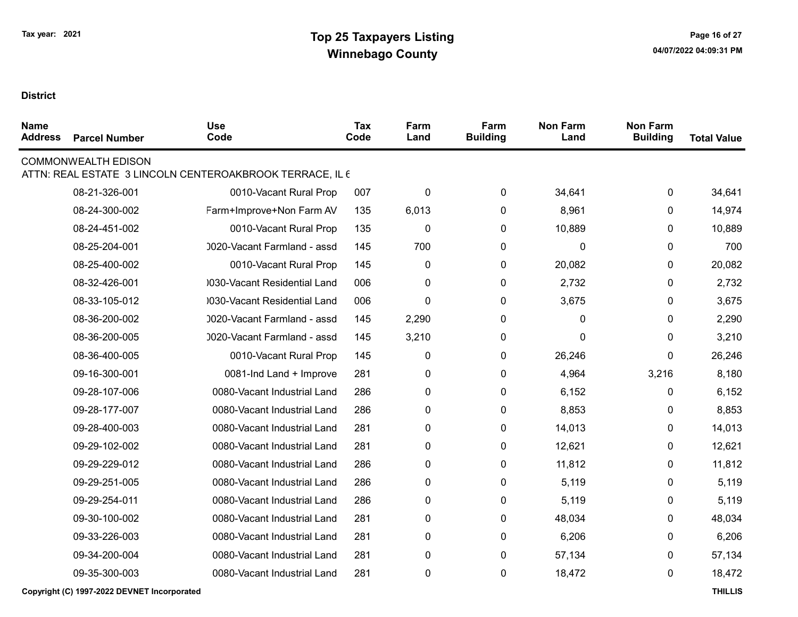| <b>Name</b><br><b>Address</b> | <b>Parcel Number</b>       | <b>Use</b><br>Code                                       | <b>Tax</b><br>Code | Farm<br>Land | Farm<br><b>Building</b> | <b>Non Farm</b><br>Land | <b>Non Farm</b><br><b>Building</b> | <b>Total Value</b> |
|-------------------------------|----------------------------|----------------------------------------------------------|--------------------|--------------|-------------------------|-------------------------|------------------------------------|--------------------|
|                               | <b>COMMONWEALTH EDISON</b> | ATTN: REAL ESTATE 3 LINCOLN CENTEROAKBROOK TERRACE, IL 6 |                    |              |                         |                         |                                    |                    |
|                               | 08-21-326-001              | 0010-Vacant Rural Prop                                   | 007                | 0            | 0                       | 34,641                  | $\mathbf 0$                        | 34,641             |
|                               | 08-24-300-002              | Farm+Improve+Non Farm AV                                 | 135                | 6,013        | 0                       | 8,961                   | $\mathbf{0}$                       | 14,974             |
|                               | 08-24-451-002              | 0010-Vacant Rural Prop                                   | 135                | 0            | 0                       | 10,889                  | $\mathbf{0}$                       | 10,889             |
|                               | 08-25-204-001              | 0020-Vacant Farmland - assd                              | 145                | 700          | 0                       | 0                       | 0                                  | 700                |
|                               | 08-25-400-002              | 0010-Vacant Rural Prop                                   | 145                | 0            | 0                       | 20,082                  | $\mathbf{0}$                       | 20,082             |
|                               | 08-32-426-001              | 0030-Vacant Residential Land                             | 006                | 0            | 0                       | 2,732                   | 0                                  | 2,732              |
|                               | 08-33-105-012              | 0030-Vacant Residential Land                             | 006                | 0            | 0                       | 3,675                   | $\mathbf{0}$                       | 3,675              |
|                               | 08-36-200-002              | 0020-Vacant Farmland - assd                              | 145                | 2,290        | 0                       | 0                       | $\mathbf{0}$                       | 2,290              |
|                               | 08-36-200-005              | 0020-Vacant Farmland - assd                              | 145                | 3,210        | 0                       | $\mathbf 0$             | $\mathbf{0}$                       | 3,210              |
|                               | 08-36-400-005              | 0010-Vacant Rural Prop                                   | 145                | 0            | 0                       | 26,246                  | 0                                  | 26,246             |
|                               | 09-16-300-001              | 0081-Ind Land + Improve                                  | 281                | 0            | 0                       | 4,964                   | 3,216                              | 8,180              |
|                               | 09-28-107-006              | 0080-Vacant Industrial Land                              | 286                | 0            | 0                       | 6,152                   | $\mathbf{0}$                       | 6,152              |
|                               | 09-28-177-007              | 0080-Vacant Industrial Land                              | 286                | 0            | 0                       | 8,853                   | 0                                  | 8,853              |
|                               | 09-28-400-003              | 0080-Vacant Industrial Land                              | 281                | 0            | 0                       | 14,013                  | $\mathbf{0}$                       | 14,013             |
|                               | 09-29-102-002              | 0080-Vacant Industrial Land                              | 281                | 0            | 0                       | 12,621                  | 0                                  | 12,621             |
|                               | 09-29-229-012              | 0080-Vacant Industrial Land                              | 286                | 0            | 0                       | 11,812                  | 0                                  | 11,812             |
|                               | 09-29-251-005              | 0080-Vacant Industrial Land                              | 286                | 0            | 0                       | 5,119                   | $\mathbf{0}$                       | 5,119              |
|                               | 09-29-254-011              | 0080-Vacant Industrial Land                              | 286                | 0            | 0                       | 5,119                   | 0                                  | 5,119              |
|                               | 09-30-100-002              | 0080-Vacant Industrial Land                              | 281                | 0            | 0                       | 48,034                  | 0                                  | 48,034             |
|                               | 09-33-226-003              | 0080-Vacant Industrial Land                              | 281                | 0            | 0                       | 6,206                   | $\mathbf{0}$                       | 6,206              |
|                               | 09-34-200-004              | 0080-Vacant Industrial Land                              | 281                | 0            | 0                       | 57,134                  | 0                                  | 57,134             |
|                               | 09-35-300-003              | 0080-Vacant Industrial Land                              | 281                | 0            | 0                       | 18,472                  | 0                                  | 18,472             |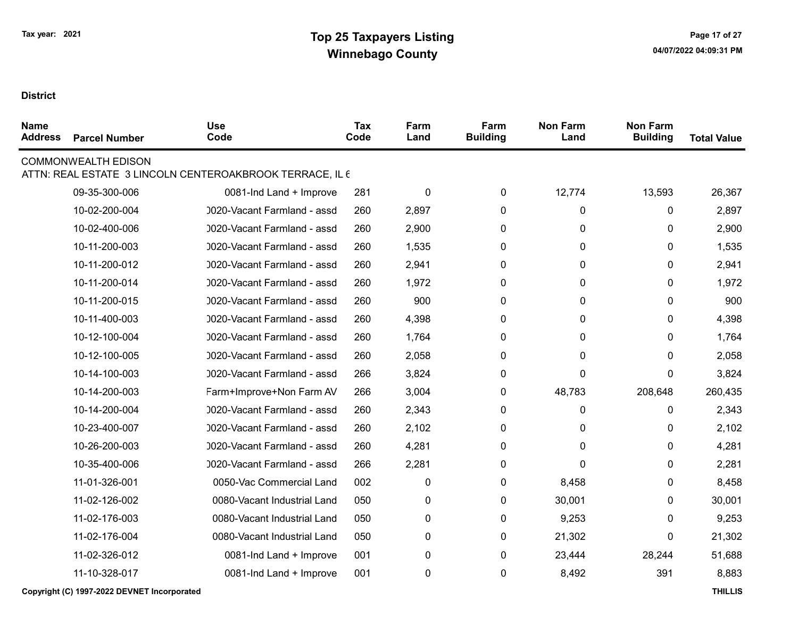| <b>Name</b><br><b>Address</b> | <b>Parcel Number</b>       | <b>Use</b><br>Code                                       | Tax<br>Code | Farm<br>Land | Farm<br><b>Building</b> | <b>Non Farm</b><br>Land | <b>Non Farm</b><br><b>Building</b> | <b>Total Value</b> |
|-------------------------------|----------------------------|----------------------------------------------------------|-------------|--------------|-------------------------|-------------------------|------------------------------------|--------------------|
|                               | <b>COMMONWEALTH EDISON</b> | ATTN: REAL ESTATE 3 LINCOLN CENTEROAKBROOK TERRACE, IL 6 |             |              |                         |                         |                                    |                    |
|                               | 09-35-300-006              | 0081-Ind Land + Improve                                  | 281         | $\mathbf 0$  | 0                       | 12,774                  | 13,593                             | 26,367             |
|                               | 10-02-200-004              | 0020-Vacant Farmland - assd                              | 260         | 2,897        | 0                       | 0                       | 0                                  | 2,897              |
|                               | 10-02-400-006              | 0020-Vacant Farmland - assd                              | 260         | 2,900        | 0                       | 0                       | 0                                  | 2,900              |
|                               | 10-11-200-003              | 0020-Vacant Farmland - assd                              | 260         | 1,535        | 0                       | 0                       | 0                                  | 1,535              |
|                               | 10-11-200-012              | 0020-Vacant Farmland - assd                              | 260         | 2,941        | 0                       | 0                       | 0                                  | 2,941              |
|                               | 10-11-200-014              | 0020-Vacant Farmland - assd                              | 260         | 1,972        | 0                       | 0                       | 0                                  | 1,972              |
|                               | 10-11-200-015              | 0020-Vacant Farmland - assd                              | 260         | 900          | 0                       | 0                       | 0                                  | 900                |
|                               | 10-11-400-003              | 0020-Vacant Farmland - assd                              | 260         | 4,398        | 0                       | 0                       | 0                                  | 4,398              |
|                               | 10-12-100-004              | 0020-Vacant Farmland - assd                              | 260         | 1,764        | 0                       | 0                       | 0                                  | 1,764              |
|                               | 10-12-100-005              | 0020-Vacant Farmland - assd                              | 260         | 2,058        | 0                       | 0                       | 0                                  | 2,058              |
|                               | 10-14-100-003              | 0020-Vacant Farmland - assd                              | 266         | 3,824        | 0                       | 0                       | 0                                  | 3,824              |
|                               | 10-14-200-003              | Farm+Improve+Non Farm AV                                 | 266         | 3,004        | 0                       | 48,783                  | 208,648                            | 260,435            |
|                               | 10-14-200-004              | 0020-Vacant Farmland - assd                              | 260         | 2,343        | 0                       | 0                       | 0                                  | 2,343              |
|                               | 10-23-400-007              | 0020-Vacant Farmland - assd                              | 260         | 2,102        | 0                       | 0                       | 0                                  | 2,102              |
|                               | 10-26-200-003              | 0020-Vacant Farmland - assd                              | 260         | 4,281        | 0                       | 0                       | 0                                  | 4,281              |
|                               | 10-35-400-006              | 0020-Vacant Farmland - assd                              | 266         | 2,281        | 0                       | 0                       | 0                                  | 2,281              |
|                               | 11-01-326-001              | 0050-Vac Commercial Land                                 | 002         | $\pmb{0}$    | 0                       | 8,458                   | 0                                  | 8,458              |
|                               | 11-02-126-002              | 0080-Vacant Industrial Land                              | 050         | $\pmb{0}$    | 0                       | 30,001                  | 0                                  | 30,001             |
|                               | 11-02-176-003              | 0080-Vacant Industrial Land                              | 050         | 0            | 0                       | 9,253                   | 0                                  | 9,253              |
|                               | 11-02-176-004              | 0080-Vacant Industrial Land                              | 050         | $\pmb{0}$    | 0                       | 21,302                  | 0                                  | 21,302             |
|                               | 11-02-326-012              | 0081-Ind Land + Improve                                  | 001         | $\pmb{0}$    | 0                       | 23,444                  | 28,244                             | 51,688             |
|                               | 11-10-328-017              | 0081-Ind Land + Improve                                  | 001         | $\pmb{0}$    | 0                       | 8,492                   | 391                                | 8,883              |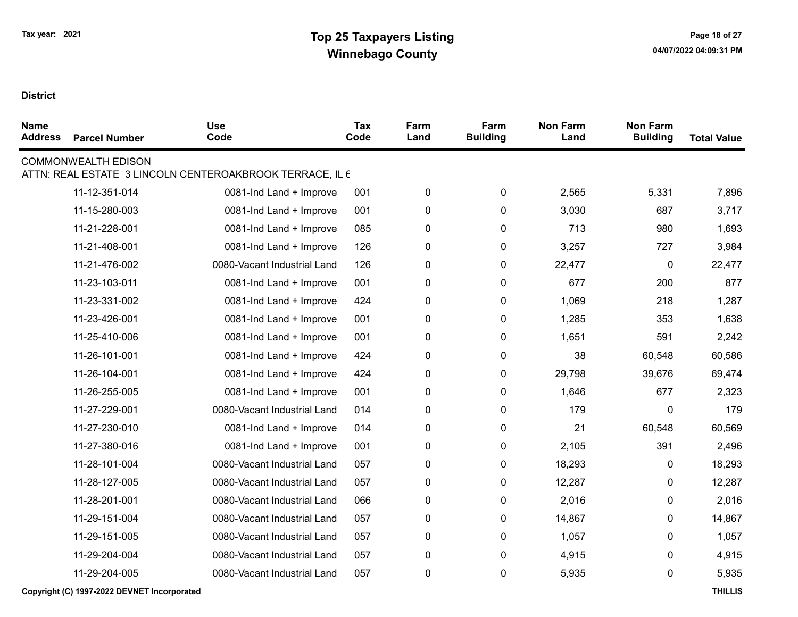| <b>Name</b><br><b>Address</b> | <b>Parcel Number</b>       | <b>Use</b><br>Code                                       | <b>Tax</b><br>Code | Farm<br>Land | Farm<br><b>Building</b> | <b>Non Farm</b><br>Land | <b>Non Farm</b><br><b>Building</b> | <b>Total Value</b> |
|-------------------------------|----------------------------|----------------------------------------------------------|--------------------|--------------|-------------------------|-------------------------|------------------------------------|--------------------|
|                               | <b>COMMONWEALTH EDISON</b> | ATTN: REAL ESTATE 3 LINCOLN CENTEROAKBROOK TERRACE, IL 6 |                    |              |                         |                         |                                    |                    |
|                               | 11-12-351-014              | 0081-Ind Land + Improve                                  | 001                | $\pmb{0}$    | 0                       | 2,565                   | 5,331                              | 7,896              |
|                               | 11-15-280-003              | 0081-Ind Land + Improve                                  | 001                | $\pmb{0}$    | 0                       | 3,030                   | 687                                | 3,717              |
|                               | 11-21-228-001              | 0081-Ind Land + Improve                                  | 085                | 0            | 0                       | 713                     | 980                                | 1,693              |
|                               | 11-21-408-001              | 0081-Ind Land + Improve                                  | 126                | 0            | 0                       | 3,257                   | 727                                | 3,984              |
|                               | 11-21-476-002              | 0080-Vacant Industrial Land                              | 126                | $\pmb{0}$    | 0                       | 22,477                  | $\mathbf 0$                        | 22,477             |
|                               | 11-23-103-011              | 0081-Ind Land + Improve                                  | 001                | 0            | 0                       | 677                     | 200                                | 877                |
|                               | 11-23-331-002              | 0081-Ind Land + Improve                                  | 424                | $\pmb{0}$    | 0                       | 1,069                   | 218                                | 1,287              |
|                               | 11-23-426-001              | 0081-Ind Land + Improve                                  | 001                | $\pmb{0}$    | 0                       | 1,285                   | 353                                | 1,638              |
|                               | 11-25-410-006              | 0081-Ind Land + Improve                                  | 001                | 0            | 0                       | 1,651                   | 591                                | 2,242              |
|                               | 11-26-101-001              | 0081-Ind Land + Improve                                  | 424                | $\pmb{0}$    | 0                       | 38                      | 60,548                             | 60,586             |
|                               | 11-26-104-001              | 0081-Ind Land + Improve                                  | 424                | $\pmb{0}$    | 0                       | 29,798                  | 39,676                             | 69,474             |
|                               | 11-26-255-005              | 0081-Ind Land + Improve                                  | 001                | $\pmb{0}$    | 0                       | 1,646                   | 677                                | 2,323              |
|                               | 11-27-229-001              | 0080-Vacant Industrial Land                              | 014                | 0            | 0                       | 179                     | 0                                  | 179                |
|                               | 11-27-230-010              | 0081-Ind Land + Improve                                  | 014                | 0            | 0                       | 21                      | 60,548                             | 60,569             |
|                               | 11-27-380-016              | 0081-Ind Land + Improve                                  | 001                | $\pmb{0}$    | 0                       | 2,105                   | 391                                | 2,496              |
|                               | 11-28-101-004              | 0080-Vacant Industrial Land                              | 057                | $\pmb{0}$    | 0                       | 18,293                  | 0                                  | 18,293             |
|                               | 11-28-127-005              | 0080-Vacant Industrial Land                              | 057                | $\pmb{0}$    | 0                       | 12,287                  | 0                                  | 12,287             |
|                               | 11-28-201-001              | 0080-Vacant Industrial Land                              | 066                | $\pmb{0}$    | 0                       | 2,016                   | 0                                  | 2,016              |
|                               | 11-29-151-004              | 0080-Vacant Industrial Land                              | 057                | $\pmb{0}$    | 0                       | 14,867                  | 0                                  | 14,867             |
|                               | 11-29-151-005              | 0080-Vacant Industrial Land                              | 057                | 0            | 0                       | 1,057                   | 0                                  | 1,057              |
|                               | 11-29-204-004              | 0080-Vacant Industrial Land                              | 057                | 0            | 0                       | 4,915                   | 0                                  | 4,915              |
|                               | 11-29-204-005              | 0080-Vacant Industrial Land                              | 057                | $\pmb{0}$    | 0                       | 5,935                   | 0                                  | 5,935              |
|                               |                            |                                                          |                    |              |                         |                         |                                    |                    |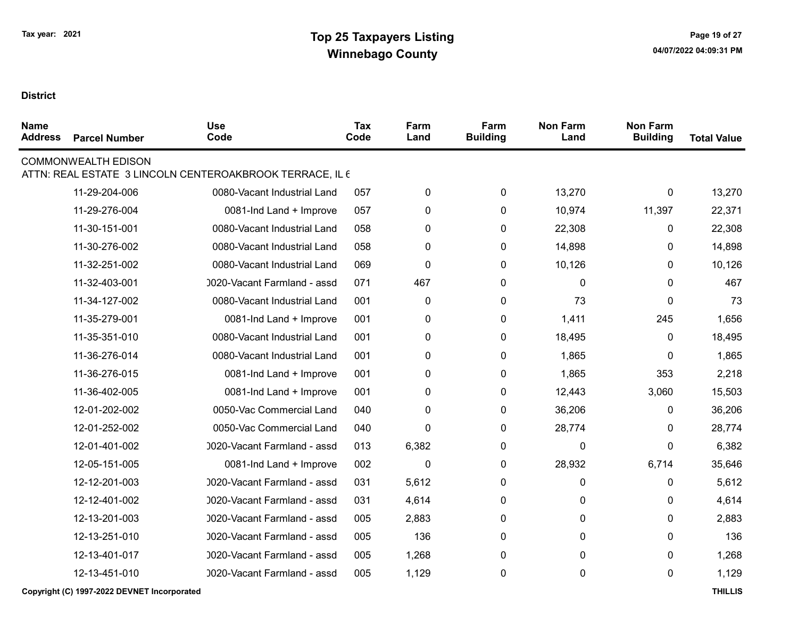| <b>Name</b><br><b>Address</b> | <b>Parcel Number</b>       | <b>Use</b><br>Code                                       | Tax<br>Code | Farm<br>Land | Farm<br><b>Building</b> | <b>Non Farm</b><br>Land | <b>Non Farm</b><br><b>Building</b> | <b>Total Value</b> |
|-------------------------------|----------------------------|----------------------------------------------------------|-------------|--------------|-------------------------|-------------------------|------------------------------------|--------------------|
|                               | <b>COMMONWEALTH EDISON</b> | ATTN: REAL ESTATE 3 LINCOLN CENTEROAKBROOK TERRACE, IL 6 |             |              |                         |                         |                                    |                    |
|                               | 11-29-204-006              | 0080-Vacant Industrial Land                              | 057         | $\pmb{0}$    | 0                       | 13,270                  | 0                                  | 13,270             |
|                               | 11-29-276-004              | 0081-Ind Land + Improve                                  | 057         | 0            | 0                       | 10,974                  | 11,397                             | 22,371             |
|                               | 11-30-151-001              | 0080-Vacant Industrial Land                              | 058         | $\pmb{0}$    | 0                       | 22,308                  | 0                                  | 22,308             |
|                               | 11-30-276-002              | 0080-Vacant Industrial Land                              | 058         | $\pmb{0}$    | 0                       | 14,898                  | 0                                  | 14,898             |
|                               | 11-32-251-002              | 0080-Vacant Industrial Land                              | 069         | $\pmb{0}$    | 0                       | 10,126                  | 0                                  | 10,126             |
|                               | 11-32-403-001              | 0020-Vacant Farmland - assd                              | 071         | 467          | 0                       | 0                       | 0                                  | 467                |
|                               | 11-34-127-002              | 0080-Vacant Industrial Land                              | 001         | $\pmb{0}$    | 0                       | 73                      | 0                                  | 73                 |
|                               | 11-35-279-001              | 0081-Ind Land + Improve                                  | 001         | $\pmb{0}$    | 0                       | 1,411                   | 245                                | 1,656              |
|                               | 11-35-351-010              | 0080-Vacant Industrial Land                              | 001         | $\pmb{0}$    | 0                       | 18,495                  | 0                                  | 18,495             |
|                               | 11-36-276-014              | 0080-Vacant Industrial Land                              | 001         | $\pmb{0}$    | 0                       | 1,865                   | 0                                  | 1,865              |
|                               | 11-36-276-015              | 0081-Ind Land + Improve                                  | 001         | $\pmb{0}$    | 0                       | 1,865                   | 353                                | 2,218              |
|                               | 11-36-402-005              | 0081-Ind Land + Improve                                  | 001         | $\pmb{0}$    | 0                       | 12,443                  | 3,060                              | 15,503             |
|                               | 12-01-202-002              | 0050-Vac Commercial Land                                 | 040         | $\pmb{0}$    | 0                       | 36,206                  | 0                                  | 36,206             |
|                               | 12-01-252-002              | 0050-Vac Commercial Land                                 | 040         | $\mathbf 0$  | 0                       | 28,774                  | 0                                  | 28,774             |
|                               | 12-01-401-002              | 0020-Vacant Farmland - assd                              | 013         | 6,382        | 0                       | 0                       | $\Omega$                           | 6,382              |
|                               | 12-05-151-005              | 0081-Ind Land + Improve                                  | 002         | $\pmb{0}$    | 0                       | 28,932                  | 6,714                              | 35,646             |
|                               | 12-12-201-003              | 0020-Vacant Farmland - assd                              | 031         | 5,612        | 0                       | 0                       | 0                                  | 5,612              |
|                               | 12-12-401-002              | 0020-Vacant Farmland - assd                              | 031         | 4,614        | 0                       | 0                       | 0                                  | 4,614              |
|                               | 12-13-201-003              | 0020-Vacant Farmland - assd                              | 005         | 2,883        | 0                       | 0                       | 0                                  | 2,883              |
|                               | 12-13-251-010              | 0020-Vacant Farmland - assd                              | 005         | 136          | 0                       | 0                       | 0                                  | 136                |
|                               | 12-13-401-017              | 0020-Vacant Farmland - assd                              | 005         | 1,268        | 0                       | 0                       | 0                                  | 1,268              |
|                               | 12-13-451-010              | 0020-Vacant Farmland - assd                              | 005         | 1,129        | 0                       | 0                       | 0                                  | 1,129              |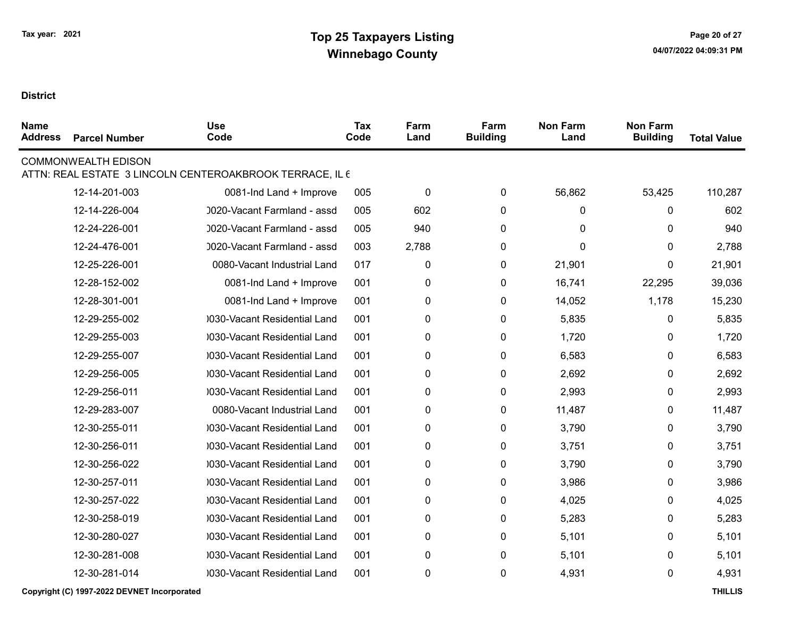| <b>Name</b><br><b>Address</b> | <b>Parcel Number</b>       | <b>Use</b><br>Code                                       | <b>Tax</b><br>Code | Farm<br>Land | Farm<br><b>Building</b> | <b>Non Farm</b><br>Land | <b>Non Farm</b><br><b>Building</b> | <b>Total Value</b> |
|-------------------------------|----------------------------|----------------------------------------------------------|--------------------|--------------|-------------------------|-------------------------|------------------------------------|--------------------|
|                               | <b>COMMONWEALTH EDISON</b> | ATTN: REAL ESTATE 3 LINCOLN CENTEROAKBROOK TERRACE, IL 6 |                    |              |                         |                         |                                    |                    |
|                               | 12-14-201-003              | 0081-Ind Land + Improve                                  | 005                | $\pmb{0}$    | 0                       | 56,862                  | 53,425                             | 110,287            |
|                               | 12-14-226-004              | 0020-Vacant Farmland - assd                              | 005                | 602          | 0                       | 0                       | 0                                  | 602                |
|                               | 12-24-226-001              | 0020-Vacant Farmland - assd                              | 005                | 940          | 0                       | 0                       | 0                                  | 940                |
|                               | 12-24-476-001              | 0020-Vacant Farmland - assd                              | 003                | 2,788        | 0                       | 0                       | 0                                  | 2,788              |
|                               | 12-25-226-001              | 0080-Vacant Industrial Land                              | 017                | 0            | 0                       | 21,901                  | 0                                  | 21,901             |
|                               | 12-28-152-002              | 0081-Ind Land + Improve                                  | 001                | $\pmb{0}$    | 0                       | 16,741                  | 22,295                             | 39,036             |
|                               | 12-28-301-001              | 0081-Ind Land + Improve                                  | 001                | $\pmb{0}$    | 0                       | 14,052                  | 1,178                              | 15,230             |
|                               | 12-29-255-002              | 0030-Vacant Residential Land                             | 001                | 0            | 0                       | 5,835                   | 0                                  | 5,835              |
|                               | 12-29-255-003              | 0030-Vacant Residential Land                             | 001                | 0            | 0                       | 1,720                   | 0                                  | 1,720              |
|                               | 12-29-255-007              | 0030-Vacant Residential Land                             | 001                | 0            | 0                       | 6,583                   | 0                                  | 6,583              |
|                               | 12-29-256-005              | 0030-Vacant Residential Land                             | 001                | 0            | 0                       | 2,692                   | 0                                  | 2,692              |
|                               | 12-29-256-011              | 0030-Vacant Residential Land                             | 001                | 0            | 0                       | 2,993                   | 0                                  | 2,993              |
|                               | 12-29-283-007              | 0080-Vacant Industrial Land                              | 001                | $\pmb{0}$    | 0                       | 11,487                  | 0                                  | 11,487             |
|                               | 12-30-255-011              | 0030-Vacant Residential Land                             | 001                | 0            | 0                       | 3,790                   | 0                                  | 3,790              |
|                               | 12-30-256-011              | 0030-Vacant Residential Land                             | 001                | 0            | 0                       | 3,751                   | 0                                  | 3,751              |
|                               | 12-30-256-022              | 0030-Vacant Residential Land                             | 001                | 0            | 0                       | 3,790                   | 0                                  | 3,790              |
|                               | 12-30-257-011              | 0030-Vacant Residential Land                             | 001                | 0            | 0                       | 3,986                   | 0                                  | 3,986              |
|                               | 12-30-257-022              | 0030-Vacant Residential Land                             | 001                | 0            | 0                       | 4,025                   | 0                                  | 4,025              |
|                               | 12-30-258-019              | 0030-Vacant Residential Land                             | 001                | 0            | 0                       | 5,283                   | 0                                  | 5,283              |
|                               | 12-30-280-027              | 0030-Vacant Residential Land                             | 001                | 0            | 0                       | 5,101                   | 0                                  | 5,101              |
|                               | 12-30-281-008              | 0030-Vacant Residential Land                             | 001                | 0            | 0                       | 5,101                   | 0                                  | 5,101              |
|                               | 12-30-281-014              | 0030-Vacant Residential Land                             | 001                | 0            | 0                       | 4,931                   | 0                                  | 4,931              |
|                               |                            |                                                          |                    |              |                         |                         |                                    |                    |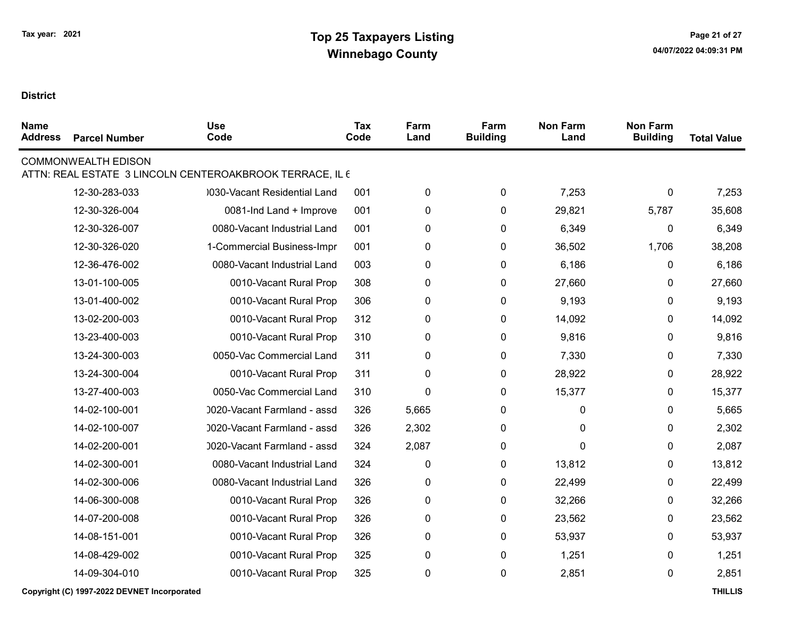| <b>Name</b><br><b>Address</b> | <b>Parcel Number</b>       | <b>Use</b><br>Code                                       | Tax<br>Code | Farm<br>Land | Farm<br><b>Building</b> | <b>Non Farm</b><br>Land | <b>Non Farm</b><br><b>Building</b> | <b>Total Value</b> |
|-------------------------------|----------------------------|----------------------------------------------------------|-------------|--------------|-------------------------|-------------------------|------------------------------------|--------------------|
|                               | <b>COMMONWEALTH EDISON</b> | ATTN: REAL ESTATE 3 LINCOLN CENTEROAKBROOK TERRACE, IL 6 |             |              |                         |                         |                                    |                    |
|                               | 12-30-283-033              | 0030-Vacant Residential Land                             | 001         | 0            | 0                       | 7,253                   | 0                                  | 7,253              |
|                               | 12-30-326-004              | 0081-Ind Land + Improve                                  | 001         | 0            | 0                       | 29,821                  | 5,787                              | 35,608             |
|                               | 12-30-326-007              | 0080-Vacant Industrial Land                              | 001         | $\pmb{0}$    | 0                       | 6,349                   | 0                                  | 6,349              |
|                               | 12-30-326-020              | 1-Commercial Business-Impr                               | 001         | 0            | 0                       | 36,502                  | 1,706                              | 38,208             |
|                               | 12-36-476-002              | 0080-Vacant Industrial Land                              | 003         | 0            | 0                       | 6,186                   | 0                                  | 6,186              |
|                               | 13-01-100-005              | 0010-Vacant Rural Prop                                   | 308         | 0            | 0                       | 27,660                  | 0                                  | 27,660             |
|                               | 13-01-400-002              | 0010-Vacant Rural Prop                                   | 306         | 0            | 0                       | 9,193                   | 0                                  | 9,193              |
|                               | 13-02-200-003              | 0010-Vacant Rural Prop                                   | 312         | 0            | 0                       | 14,092                  | 0                                  | 14,092             |
|                               | 13-23-400-003              | 0010-Vacant Rural Prop                                   | 310         | 0            | 0                       | 9,816                   | 0                                  | 9,816              |
|                               | 13-24-300-003              | 0050-Vac Commercial Land                                 | 311         | 0            | 0                       | 7,330                   | 0                                  | 7,330              |
|                               | 13-24-300-004              | 0010-Vacant Rural Prop                                   | 311         | 0            | 0                       | 28,922                  | 0                                  | 28,922             |
|                               | 13-27-400-003              | 0050-Vac Commercial Land                                 | 310         | $\mathbf 0$  | $\pmb{0}$               | 15,377                  | 0                                  | 15,377             |
|                               | 14-02-100-001              | 0020-Vacant Farmland - assd                              | 326         | 5,665        | 0                       | 0                       | 0                                  | 5,665              |
|                               | 14-02-100-007              | 0020-Vacant Farmland - assd                              | 326         | 2,302        | 0                       | 0                       | 0                                  | 2,302              |
|                               | 14-02-200-001              | 0020-Vacant Farmland - assd                              | 324         | 2,087        | 0                       | 0                       | 0                                  | 2,087              |
|                               | 14-02-300-001              | 0080-Vacant Industrial Land                              | 324         | 0            | 0                       | 13,812                  | 0                                  | 13,812             |
|                               | 14-02-300-006              | 0080-Vacant Industrial Land                              | 326         | 0            | 0                       | 22,499                  | 0                                  | 22,499             |
|                               | 14-06-300-008              | 0010-Vacant Rural Prop                                   | 326         | 0            | 0                       | 32,266                  | 0                                  | 32,266             |
|                               | 14-07-200-008              | 0010-Vacant Rural Prop                                   | 326         | 0            | 0                       | 23,562                  | 0                                  | 23,562             |
|                               | 14-08-151-001              | 0010-Vacant Rural Prop                                   | 326         | 0            | 0                       | 53,937                  | 0                                  | 53,937             |
|                               | 14-08-429-002              | 0010-Vacant Rural Prop                                   | 325         | 0            | $\pmb{0}$               | 1,251                   | 0                                  | 1,251              |
|                               | 14-09-304-010              | 0010-Vacant Rural Prop                                   | 325         | 0            | 0                       | 2,851                   | 0                                  | 2,851              |
|                               |                            |                                                          |             |              |                         |                         |                                    |                    |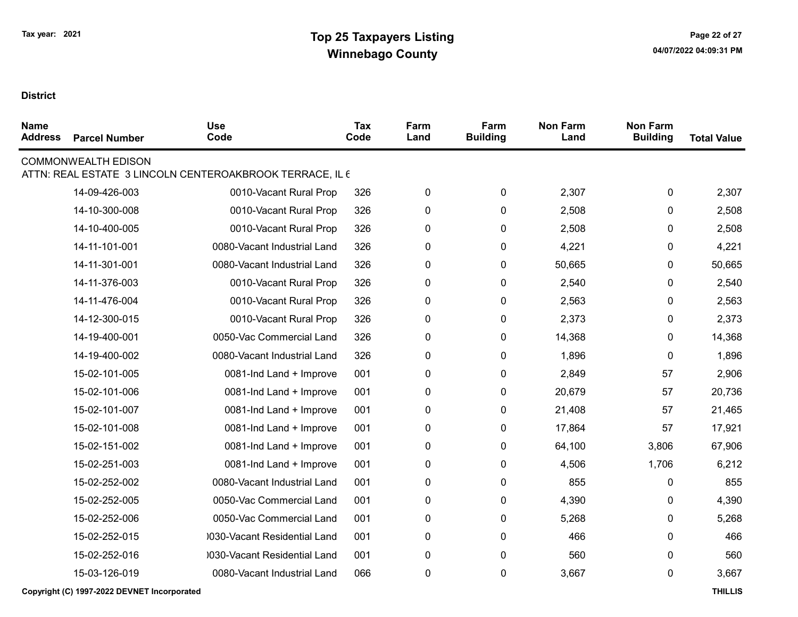| <b>Name</b><br><b>Address</b> | <b>Parcel Number</b>       | <b>Use</b><br>Code                                       | <b>Tax</b><br>Code | Farm<br>Land | Farm<br><b>Building</b> | <b>Non Farm</b><br>Land | <b>Non Farm</b><br><b>Building</b> | <b>Total Value</b> |
|-------------------------------|----------------------------|----------------------------------------------------------|--------------------|--------------|-------------------------|-------------------------|------------------------------------|--------------------|
|                               | <b>COMMONWEALTH EDISON</b> | ATTN: REAL ESTATE 3 LINCOLN CENTEROAKBROOK TERRACE, IL 6 |                    |              |                         |                         |                                    |                    |
|                               | 14-09-426-003              | 0010-Vacant Rural Prop                                   | 326                | 0            | 0                       | 2,307                   | 0                                  | 2,307              |
|                               | 14-10-300-008              | 0010-Vacant Rural Prop                                   | 326                | 0            | 0                       | 2,508                   | 0                                  | 2,508              |
|                               | 14-10-400-005              | 0010-Vacant Rural Prop                                   | 326                |              | $\pmb{0}$               | 2,508                   | 0                                  | 2,508              |
|                               |                            |                                                          |                    | 0            |                         |                         |                                    |                    |
|                               | 14-11-101-001              | 0080-Vacant Industrial Land                              | 326                | 0            | 0                       | 4,221                   | 0                                  | 4,221              |
|                               | 14-11-301-001              | 0080-Vacant Industrial Land                              | 326                | $\pmb{0}$    | 0                       | 50,665                  | 0                                  | 50,665             |
|                               | 14-11-376-003              | 0010-Vacant Rural Prop                                   | 326                | 0            | 0                       | 2,540                   | 0                                  | 2,540              |
|                               | 14-11-476-004              | 0010-Vacant Rural Prop                                   | 326                | 0            | 0                       | 2,563                   | 0                                  | 2,563              |
|                               | 14-12-300-015              | 0010-Vacant Rural Prop                                   | 326                | 0            | $\pmb{0}$               | 2,373                   | 0                                  | 2,373              |
|                               | 14-19-400-001              | 0050-Vac Commercial Land                                 | 326                | $\pmb{0}$    | 0                       | 14,368                  | 0                                  | 14,368             |
|                               | 14-19-400-002              | 0080-Vacant Industrial Land                              | 326                | 0            | $\pmb{0}$               | 1,896                   | 0                                  | 1,896              |
|                               | 15-02-101-005              | 0081-Ind Land + Improve                                  | 001                | $\pmb{0}$    | 0                       | 2,849                   | 57                                 | 2,906              |
|                               | 15-02-101-006              | 0081-Ind Land + Improve                                  | 001                | $\pmb{0}$    | 0                       | 20,679                  | 57                                 | 20,736             |
|                               | 15-02-101-007              | 0081-Ind Land + Improve                                  | 001                | $\pmb{0}$    | 0                       | 21,408                  | 57                                 | 21,465             |
|                               | 15-02-101-008              | 0081-Ind Land + Improve                                  | 001                | $\pmb{0}$    | 0                       | 17,864                  | 57                                 | 17,921             |
|                               | 15-02-151-002              | 0081-Ind Land + Improve                                  | 001                | $\pmb{0}$    | 0                       | 64,100                  | 3,806                              | 67,906             |
|                               | 15-02-251-003              | 0081-Ind Land + Improve                                  | 001                | $\pmb{0}$    | 0                       | 4,506                   | 1,706                              | 6,212              |
|                               | 15-02-252-002              | 0080-Vacant Industrial Land                              | 001                | $\pmb{0}$    | $\pmb{0}$               | 855                     | 0                                  | 855                |
|                               | 15-02-252-005              | 0050-Vac Commercial Land                                 | 001                | 0            | 0                       | 4,390                   | 0                                  | 4,390              |
|                               | 15-02-252-006              | 0050-Vac Commercial Land                                 | 001                | $\pmb{0}$    | $\pmb{0}$               | 5,268                   | 0                                  | 5,268              |
|                               | 15-02-252-015              | 0030-Vacant Residential Land                             | 001                | 0            | 0                       | 466                     | 0                                  | 466                |
|                               | 15-02-252-016              | 0030-Vacant Residential Land                             | 001                | 0            | 0                       | 560                     | 0                                  | 560                |
|                               | 15-03-126-019              | 0080-Vacant Industrial Land                              | 066                | $\pmb{0}$    | 0                       | 3,667                   | 0                                  | 3,667              |
|                               |                            |                                                          |                    |              |                         |                         |                                    |                    |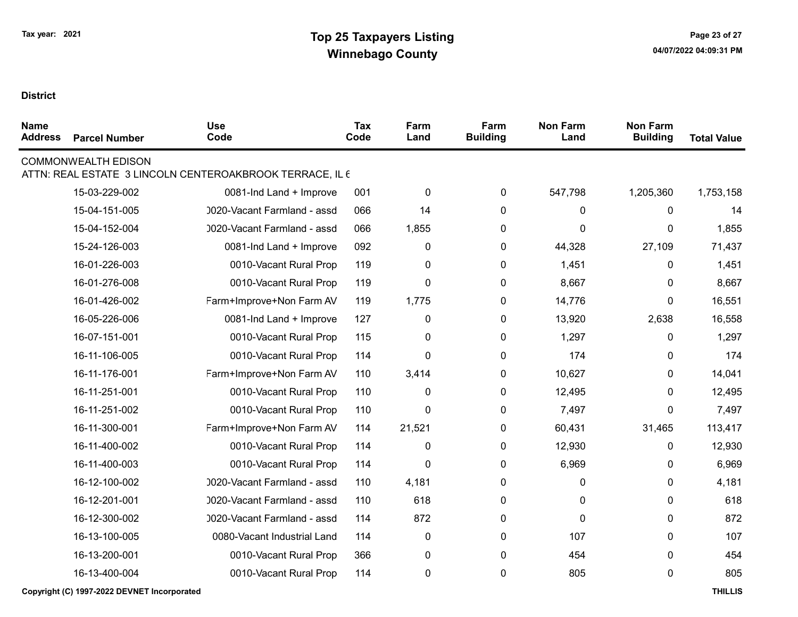| <b>Name</b><br><b>Address</b> | <b>Parcel Number</b>       | <b>Use</b><br>Code                                       | <b>Tax</b><br>Code | Farm<br>Land | Farm<br><b>Building</b> | <b>Non Farm</b><br>Land | <b>Non Farm</b><br><b>Building</b> | <b>Total Value</b> |
|-------------------------------|----------------------------|----------------------------------------------------------|--------------------|--------------|-------------------------|-------------------------|------------------------------------|--------------------|
|                               | <b>COMMONWEALTH EDISON</b> | ATTN: REAL ESTATE 3 LINCOLN CENTEROAKBROOK TERRACE, IL 6 |                    |              |                         |                         |                                    |                    |
|                               | 15-03-229-002              | 0081-Ind Land + Improve                                  | 001                | $\pmb{0}$    | 0                       | 547,798                 | 1,205,360                          | 1,753,158          |
|                               | 15-04-151-005              | 0020-Vacant Farmland - assd                              | 066                | 14           | 0                       | 0                       | 0                                  | 14                 |
|                               | 15-04-152-004              | 0020-Vacant Farmland - assd                              | 066                | 1,855        | 0                       | 0                       | 0                                  | 1,855              |
|                               | 15-24-126-003              | 0081-Ind Land + Improve                                  | 092                | $\pmb{0}$    | 0                       | 44,328                  | 27,109                             | 71,437             |
|                               | 16-01-226-003              | 0010-Vacant Rural Prop                                   | 119                | 0            | 0                       | 1,451                   | 0                                  | 1,451              |
|                               | 16-01-276-008              | 0010-Vacant Rural Prop                                   | 119                | $\mathbf 0$  | 0                       | 8,667                   | 0                                  | 8,667              |
|                               | 16-01-426-002              | Farm+Improve+Non Farm AV                                 | 119                | 1,775        | 0                       | 14,776                  | 0                                  | 16,551             |
|                               | 16-05-226-006              | 0081-Ind Land + Improve                                  | 127                | $\pmb{0}$    | $\pmb{0}$               | 13,920                  | 2,638                              | 16,558             |
|                               | 16-07-151-001              | 0010-Vacant Rural Prop                                   | 115                | 0            | 0                       | 1,297                   | 0                                  | 1,297              |
|                               | 16-11-106-005              | 0010-Vacant Rural Prop                                   | 114                | 0            | 0                       | 174                     | 0                                  | 174                |
|                               | 16-11-176-001              | Farm+Improve+Non Farm AV                                 | 110                | 3,414        | 0                       | 10,627                  | 0                                  | 14,041             |
|                               | 16-11-251-001              | 0010-Vacant Rural Prop                                   | 110                | 0            | 0                       | 12,495                  | 0                                  | 12,495             |
|                               | 16-11-251-002              | 0010-Vacant Rural Prop                                   | 110                | $\mathbf 0$  | 0                       | 7,497                   | 0                                  | 7,497              |
|                               | 16-11-300-001              | Farm+Improve+Non Farm AV                                 | 114                | 21,521       | 0                       | 60,431                  | 31,465                             | 113,417            |
|                               | 16-11-400-002              | 0010-Vacant Rural Prop                                   | 114                | $\pmb{0}$    | 0                       | 12,930                  | 0                                  | 12,930             |
|                               | 16-11-400-003              | 0010-Vacant Rural Prop                                   | 114                | 0            | 0                       | 6,969                   | 0                                  | 6,969              |
|                               | 16-12-100-002              | 0020-Vacant Farmland - assd                              | 110                | 4,181        | 0                       | 0                       | 0                                  | 4,181              |
|                               | 16-12-201-001              | 0020-Vacant Farmland - assd                              | 110                | 618          | 0                       | 0                       | 0                                  | 618                |
|                               | 16-12-300-002              | 0020-Vacant Farmland - assd                              | 114                | 872          | 0                       | 0                       | 0                                  | 872                |
|                               | 16-13-100-005              | 0080-Vacant Industrial Land                              | 114                | $\pmb{0}$    | $\pmb{0}$               | 107                     | 0                                  | 107                |
|                               | 16-13-200-001              | 0010-Vacant Rural Prop                                   | 366                | 0            | 0                       | 454                     | 0                                  | 454                |
|                               | 16-13-400-004              | 0010-Vacant Rural Prop                                   | 114                | $\pmb{0}$    | 0                       | 805                     | 0                                  | 805                |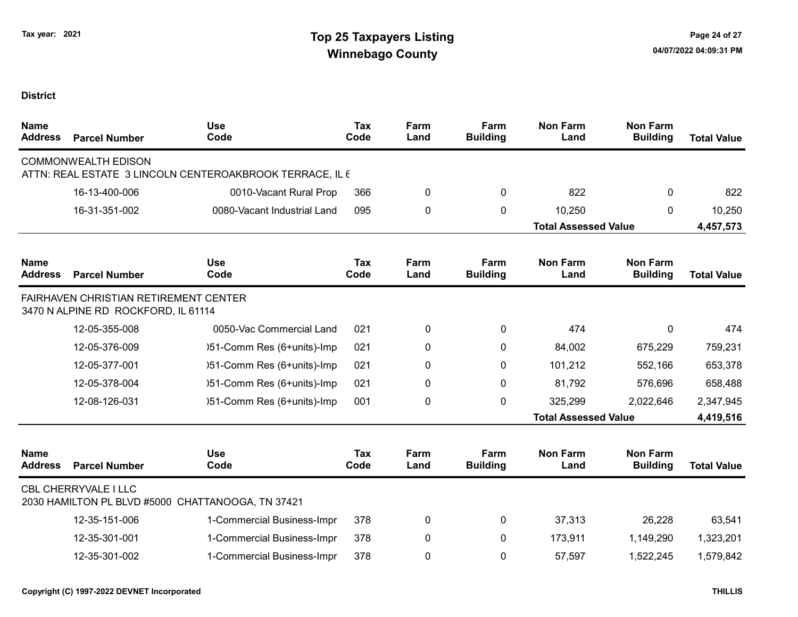| <b>Name</b><br><b>Address</b> | <b>Parcel Number</b>                                                         | <b>Use</b><br>Code                                       | <b>Tax</b><br>Code | Farm<br>Land | Farm<br><b>Building</b> | <b>Non Farm</b><br>Land     | <b>Non Farm</b><br><b>Building</b> | <b>Total Value</b> |
|-------------------------------|------------------------------------------------------------------------------|----------------------------------------------------------|--------------------|--------------|-------------------------|-----------------------------|------------------------------------|--------------------|
|                               | <b>COMMONWEALTH EDISON</b>                                                   | ATTN: REAL ESTATE 3 LINCOLN CENTEROAKBROOK TERRACE, IL 6 |                    |              |                         |                             |                                    |                    |
|                               | 16-13-400-006                                                                | 0010-Vacant Rural Prop                                   | 366                | 0            | 0                       | 822                         | $\mathbf{0}$                       | 822                |
|                               | 16-31-351-002                                                                | 0080-Vacant Industrial Land                              | 095                | 0            | 0                       | 10,250                      | $\mathbf{0}$                       | 10,250             |
|                               |                                                                              |                                                          |                    |              |                         | <b>Total Assessed Value</b> |                                    | 4,457,573          |
| <b>Name</b><br><b>Address</b> | <b>Parcel Number</b>                                                         | <b>Use</b><br>Code                                       | Tax<br>Code        | Farm<br>Land | Farm<br><b>Building</b> | <b>Non Farm</b><br>Land     | <b>Non Farm</b><br><b>Building</b> | <b>Total Value</b> |
|                               | FAIRHAVEN CHRISTIAN RETIREMENT CENTER<br>3470 N ALPINE RD ROCKFORD, IL 61114 |                                                          |                    |              |                         |                             |                                    |                    |
|                               | 12-05-355-008                                                                | 0050-Vac Commercial Land                                 | 021                | 0            | 0                       | 474                         | 0                                  | 474                |
|                               | 12-05-376-009                                                                | )51-Comm Res (6+units)-Imp                               | 021                | 0            | 0                       | 84,002                      | 675,229                            | 759,231            |
|                               | 12-05-377-001                                                                | )51-Comm Res (6+units)-Imp                               | 021                | 0            | 0                       | 101,212                     | 552,166                            | 653,378            |
|                               | 12-05-378-004                                                                | )51-Comm Res (6+units)-Imp                               | 021                | 0            | $\mathbf{0}$            | 81,792                      | 576,696                            | 658,488            |
|                               | 12-08-126-031                                                                | )51-Comm Res (6+units)-Imp                               | 001                | 0            | 0                       | 325,299                     | 2,022,646                          | 2,347,945          |
|                               |                                                                              |                                                          |                    |              |                         | <b>Total Assessed Value</b> |                                    | 4,419,516          |
| <b>Name</b><br><b>Address</b> | <b>Parcel Number</b>                                                         | <b>Use</b><br>Code                                       | <b>Tax</b><br>Code | Farm<br>Land | Farm<br><b>Building</b> | <b>Non Farm</b><br>Land     | <b>Non Farm</b><br><b>Building</b> | <b>Total Value</b> |
|                               | <b>CBL CHERRYVALE I LLC</b>                                                  | 2030 HAMILTON PL BLVD #5000 CHATTANOOGA, TN 37421        |                    |              |                         |                             |                                    |                    |
|                               | 12-35-151-006                                                                | 1-Commercial Business-Impr                               | 378                | 0            | 0                       | 37,313                      | 26,228                             | 63,541             |
|                               | 12-35-301-001                                                                | 1-Commercial Business-Impr                               | 378                | 0            | 0                       | 173,911                     | 1,149,290                          | 1,323,201          |
|                               | 12-35-301-002                                                                | 1-Commercial Business-Impr                               | 378                | 0            | 0                       | 57,597                      | 1,522,245                          | 1,579,842          |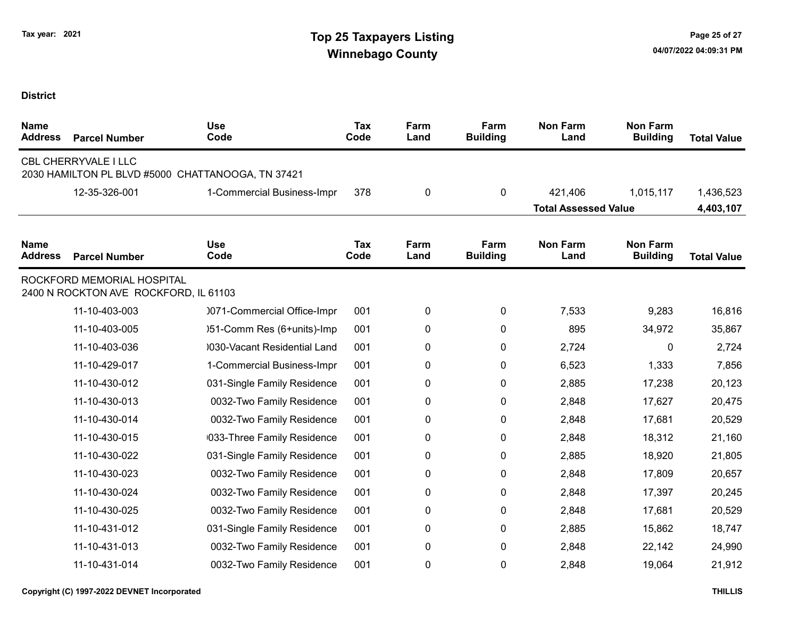| <b>Name</b><br><b>Address</b> | <b>Parcel Number</b>                                                | <b>Use</b><br>Code                                | <b>Tax</b><br>Code | Farm<br>Land | Farm<br><b>Building</b> | <b>Non Farm</b><br>Land     | <b>Non Farm</b><br><b>Building</b> | <b>Total Value</b> |
|-------------------------------|---------------------------------------------------------------------|---------------------------------------------------|--------------------|--------------|-------------------------|-----------------------------|------------------------------------|--------------------|
|                               | CBL CHERRYVALE I LLC                                                | 2030 HAMILTON PL BLVD #5000 CHATTANOOGA, TN 37421 |                    |              |                         |                             |                                    |                    |
|                               | 12-35-326-001                                                       | 1-Commercial Business-Impr                        | 378                | 0            | 0                       | 421,406                     | 1,015,117                          | 1,436,523          |
|                               |                                                                     |                                                   |                    |              |                         | <b>Total Assessed Value</b> |                                    | 4,403,107          |
| <b>Name</b><br><b>Address</b> | <b>Parcel Number</b>                                                | <b>Use</b><br>Code                                | <b>Tax</b><br>Code | Farm<br>Land | Farm<br><b>Building</b> | <b>Non Farm</b><br>Land     | <b>Non Farm</b><br><b>Building</b> | <b>Total Value</b> |
|                               | ROCKFORD MEMORIAL HOSPITAL<br>2400 N ROCKTON AVE ROCKFORD, IL 61103 |                                                   |                    |              |                         |                             |                                    |                    |
|                               | 11-10-403-003                                                       | 0071-Commercial Office-Impr                       | 001                | 0            | 0                       | 7,533                       | 9,283                              | 16,816             |
|                               | 11-10-403-005                                                       | )51-Comm Res (6+units)-Imp                        | 001                | 0            | 0                       | 895                         | 34,972                             | 35,867             |
|                               | 11-10-403-036                                                       | 0030-Vacant Residential Land                      | 001                | 0            | 0                       | 2,724                       | 0                                  | 2,724              |
|                               | 11-10-429-017                                                       | 1-Commercial Business-Impr                        | 001                | 0            | 0                       | 6,523                       | 1,333                              | 7,856              |
|                               | 11-10-430-012                                                       | 031-Single Family Residence                       | 001                | 0            | 0                       | 2,885                       | 17,238                             | 20,123             |
|                               | 11-10-430-013                                                       | 0032-Two Family Residence                         | 001                | 0            | 0                       | 2,848                       | 17,627                             | 20,475             |
|                               | 11-10-430-014                                                       | 0032-Two Family Residence                         | 001                | 0            | 0                       | 2,848                       | 17,681                             | 20,529             |
|                               | 11-10-430-015                                                       | 033-Three Family Residence                        | 001                | 0            | 0                       | 2,848                       | 18,312                             | 21,160             |
|                               | 11-10-430-022                                                       | 031-Single Family Residence                       | 001                | 0            | 0                       | 2,885                       | 18,920                             | 21,805             |
|                               | 11-10-430-023                                                       | 0032-Two Family Residence                         | 001                | 0            | 0                       | 2,848                       | 17,809                             | 20,657             |
|                               | 11-10-430-024                                                       | 0032-Two Family Residence                         | 001                | 0            | 0                       | 2,848                       | 17,397                             | 20,245             |
|                               | 11-10-430-025                                                       | 0032-Two Family Residence                         | 001                | 0            | 0                       | 2,848                       | 17,681                             | 20,529             |
|                               | 11-10-431-012                                                       | 031-Single Family Residence                       | 001                | 0            | 0                       | 2,885                       | 15,862                             | 18,747             |
|                               | 11-10-431-013                                                       | 0032-Two Family Residence                         | 001                | 0            | 0                       | 2,848                       | 22,142                             | 24,990             |
|                               | 11-10-431-014                                                       | 0032-Two Family Residence                         | 001                | 0            | 0                       | 2,848                       | 19,064                             | 21,912             |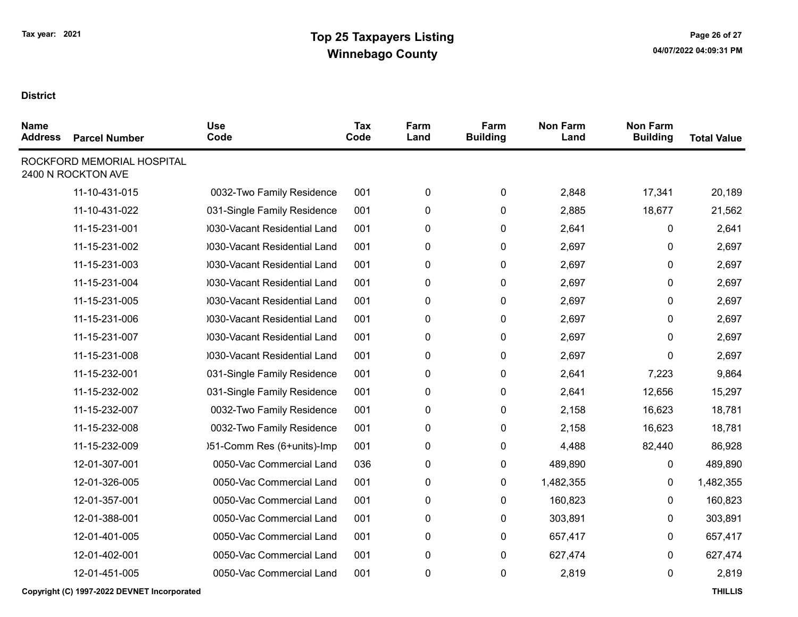| <b>Parcel Number</b> | <b>Use</b><br>Code                               | <b>Tax</b><br>Code | Farm<br>Land | Farm<br><b>Building</b> | <b>Non Farm</b><br>Land | <b>Non Farm</b><br><b>Building</b> | <b>Total Value</b> |
|----------------------|--------------------------------------------------|--------------------|--------------|-------------------------|-------------------------|------------------------------------|--------------------|
|                      |                                                  |                    |              |                         |                         |                                    |                    |
| 11-10-431-015        | 0032-Two Family Residence                        | 001                | 0            | $\mathbf 0$             | 2,848                   | 17,341                             | 20,189             |
| 11-10-431-022        | 031-Single Family Residence                      | 001                | 0            | 0                       | 2,885                   | 18,677                             | 21,562             |
| 11-15-231-001        | 0030-Vacant Residential Land                     | 001                | 0            | 0                       | 2,641                   | 0                                  | 2,641              |
| 11-15-231-002        | 0030-Vacant Residential Land                     | 001                | 0            | $\mathbf 0$             | 2,697                   | 0                                  | 2,697              |
| 11-15-231-003        | 0030-Vacant Residential Land                     | 001                | 0            | 0                       | 2,697                   | 0                                  | 2,697              |
| 11-15-231-004        | 0030-Vacant Residential Land                     | 001                | 0            | 0                       | 2,697                   | 0                                  | 2,697              |
| 11-15-231-005        | 0030-Vacant Residential Land                     | 001                | 0            | 0                       | 2,697                   | 0                                  | 2,697              |
| 11-15-231-006        | 0030-Vacant Residential Land                     | 001                | 0            | 0                       | 2,697                   | 0                                  | 2,697              |
| 11-15-231-007        | 0030-Vacant Residential Land                     | 001                | 0            | $\mathbf 0$             | 2,697                   | 0                                  | 2,697              |
| 11-15-231-008        | 0030-Vacant Residential Land                     | 001                | 0            | 0                       | 2,697                   | 0                                  | 2,697              |
| 11-15-232-001        | 031-Single Family Residence                      | 001                | $\mathbf 0$  | 0                       | 2,641                   | 7,223                              | 9,864              |
| 11-15-232-002        | 031-Single Family Residence                      | 001                | 0            | 0                       | 2,641                   | 12,656                             | 15,297             |
| 11-15-232-007        | 0032-Two Family Residence                        | 001                | 0            | 0                       | 2,158                   | 16,623                             | 18,781             |
| 11-15-232-008        | 0032-Two Family Residence                        | 001                | 0            | 0                       | 2,158                   | 16,623                             | 18,781             |
| 11-15-232-009        | )51-Comm Res (6+units)-Imp                       | 001                | 0            | 0                       | 4,488                   | 82,440                             | 86,928             |
| 12-01-307-001        | 0050-Vac Commercial Land                         | 036                | 0            | 0                       | 489,890                 | 0                                  | 489,890            |
| 12-01-326-005        | 0050-Vac Commercial Land                         | 001                | 0            | 0                       | 1,482,355               | 0                                  | 1,482,355          |
| 12-01-357-001        | 0050-Vac Commercial Land                         | 001                | 0            | 0                       | 160,823                 | 0                                  | 160,823            |
| 12-01-388-001        | 0050-Vac Commercial Land                         | 001                | 0            | 0                       | 303,891                 | 0                                  | 303,891            |
| 12-01-401-005        | 0050-Vac Commercial Land                         | 001                | 0            | 0                       | 657,417                 | $\mathbf{0}$                       | 657,417            |
| 12-01-402-001        | 0050-Vac Commercial Land                         | 001                | 0            | 0                       | 627,474                 | 0                                  | 627,474            |
| 12-01-451-005        | 0050-Vac Commercial Land                         | 001                | 0            | 0                       | 2,819                   | 0                                  | 2,819              |
|                      | ROCKFORD MEMORIAL HOSPITAL<br>2400 N ROCKTON AVE |                    |              |                         |                         |                                    |                    |